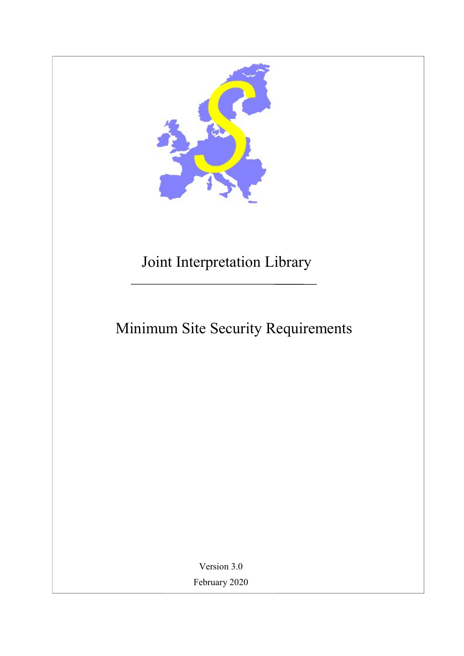

## Joint Interpretation Library

# Minimum Site Security Requirements

Version 3.0 February 2020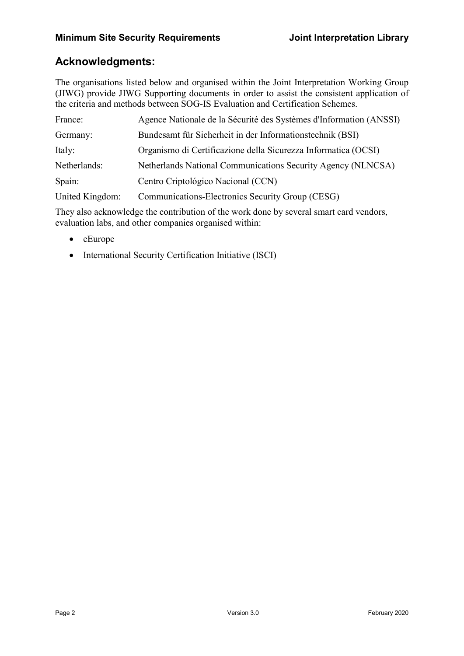## Acknowledgments:

The organisations listed below and organised within the Joint Interpretation Working Group (JIWG) provide JIWG Supporting documents in order to assist the consistent application of the criteria and methods between SOG-IS Evaluation and Certification Schemes.

| France:         | Agence Nationale de la Sécurité des Systèmes d'Information (ANSSI) |
|-----------------|--------------------------------------------------------------------|
| Germany:        | Bundesamt für Sicherheit in der Informationstechnik (BSI)          |
| Italy:          | Organismo di Certificazione della Sicurezza Informatica (OCSI)     |
| Netherlands:    | Netherlands National Communications Security Agency (NLNCSA)       |
| Spain:          | Centro Criptológico Nacional (CCN)                                 |
| United Kingdom: | Communications-Electronics Security Group (CESG)                   |

They also acknowledge the contribution of the work done by several smart card vendors, evaluation labs, and other companies organised within:

- $\bullet$  eEurope
- International Security Certification Initiative (ISCI)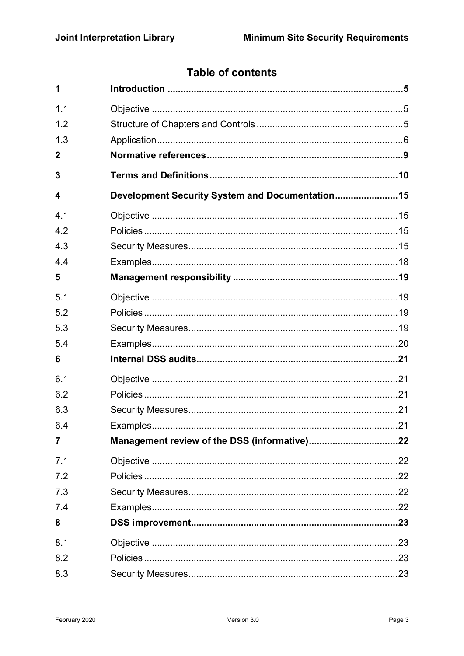## **Table of contents**

| 1   |                                                  |  |
|-----|--------------------------------------------------|--|
| 1.1 |                                                  |  |
| 1.2 |                                                  |  |
| 1.3 |                                                  |  |
| 2   |                                                  |  |
| 3   |                                                  |  |
| 4   | Development Security System and Documentation 15 |  |
| 4.1 |                                                  |  |
| 4.2 |                                                  |  |
| 4.3 |                                                  |  |
| 4.4 |                                                  |  |
| 5   |                                                  |  |
| 5.1 |                                                  |  |
| 5.2 |                                                  |  |
| 5.3 |                                                  |  |
| 5.4 |                                                  |  |
| 6   |                                                  |  |
| 6.1 |                                                  |  |
| 6.2 |                                                  |  |
| 6.3 |                                                  |  |
| 6.4 |                                                  |  |
| 7   |                                                  |  |
| 7.1 |                                                  |  |
| 7.2 |                                                  |  |
| 7.3 |                                                  |  |
| 7.4 |                                                  |  |
| 8   |                                                  |  |
| 8.1 |                                                  |  |
| 8.2 |                                                  |  |
| 8.3 |                                                  |  |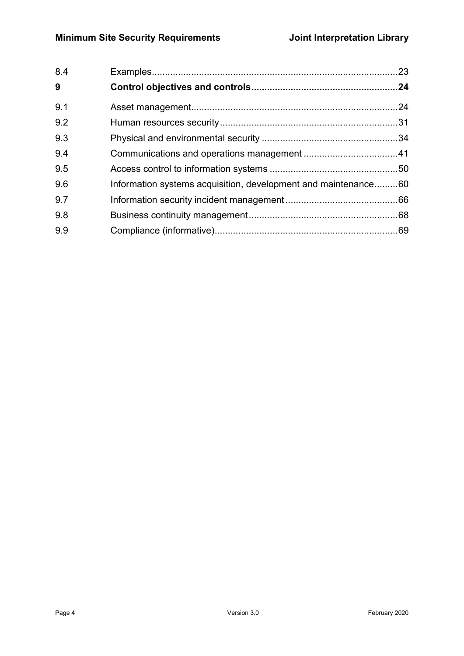| 8.4 |                                                                |  |
|-----|----------------------------------------------------------------|--|
| 9   |                                                                |  |
| 9.1 |                                                                |  |
| 9.2 |                                                                |  |
| 9.3 |                                                                |  |
| 9.4 |                                                                |  |
| 9.5 |                                                                |  |
| 9.6 | Information systems acquisition, development and maintenance60 |  |
| 9.7 |                                                                |  |
| 9.8 |                                                                |  |
| 9.9 |                                                                |  |
|     |                                                                |  |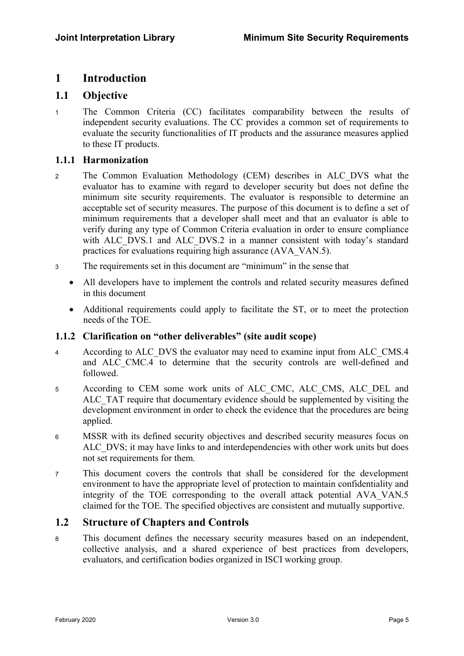### 1 Introduction

### 1.1 Objective

<sup>1</sup>The Common Criteria (CC) facilitates comparability between the results of independent security evaluations. The CC provides a common set of requirements to evaluate the security functionalities of IT products and the assurance measures applied to these IT products.

### 1.1.1 Harmonization

- 2 The Common Evaluation Methodology (CEM) describes in ALC DVS what the evaluator has to examine with regard to developer security but does not define the minimum site security requirements. The evaluator is responsible to determine an acceptable set of security measures. The purpose of this document is to define a set of minimum requirements that a developer shall meet and that an evaluator is able to verify during any type of Common Criteria evaluation in order to ensure compliance with ALC DVS.1 and ALC DVS.2 in a manner consistent with today's standard practices for evaluations requiring high assurance (AVA\_VAN.5).
- <sup>3</sup>The requirements set in this document are "minimum" in the sense that
	- All developers have to implement the controls and related security measures defined in this document
	- Additional requirements could apply to facilitate the ST, or to meet the protection needs of the TOE.

### 1.1.2 Clarification on "other deliverables" (site audit scope)

- 4 According to ALC DVS the evaluator may need to examine input from ALC CMS.4 and ALC CMC.4 to determine that the security controls are well-defined and followed.
- 5 According to CEM some work units of ALC\_CMC, ALC CMS, ALC DEL and ALC TAT require that documentary evidence should be supplemented by visiting the development environment in order to check the evidence that the procedures are being applied.
- <sup>6</sup>MSSR with its defined security objectives and described security measures focus on ALC DVS; it may have links to and interdependencies with other work units but does not set requirements for them.
- <sup>7</sup>This document covers the controls that shall be considered for the development environment to have the appropriate level of protection to maintain confidentiality and integrity of the TOE corresponding to the overall attack potential AVA\_VAN.5 claimed for the TOE. The specified objectives are consistent and mutually supportive.

### 1.2 Structure of Chapters and Controls

<sup>8</sup>This document defines the necessary security measures based on an independent, collective analysis, and a shared experience of best practices from developers, evaluators, and certification bodies organized in ISCI working group.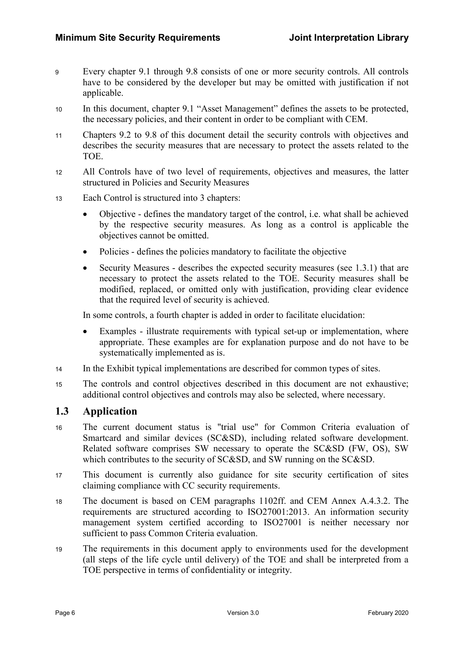- <sup>9</sup>Every chapter 9.1 through 9.8 consists of one or more security controls. All controls have to be considered by the developer but may be omitted with justification if not applicable.
- 10 In this document, chapter 9.1 "Asset Management" defines the assets to be protected, the necessary policies, and their content in order to be compliant with CEM.
- <sup>11</sup>Chapters 9.2 to 9.8 of this document detail the security controls with objectives and describes the security measures that are necessary to protect the assets related to the TOE.
- 12 All Controls have of two level of requirements, objectives and measures, the latter structured in Policies and Security Measures
- <sup>13</sup>Each Control is structured into 3 chapters:
	- Objective defines the mandatory target of the control, i.e. what shall be achieved by the respective security measures. As long as a control is applicable the objectives cannot be omitted.
	- Policies defines the policies mandatory to facilitate the objective
	- Security Measures describes the expected security measures (see 1.3.1) that are necessary to protect the assets related to the TOE. Security measures shall be modified, replaced, or omitted only with justification, providing clear evidence that the required level of security is achieved.

In some controls, a fourth chapter is added in order to facilitate elucidation:

- Examples illustrate requirements with typical set-up or implementation, where appropriate. These examples are for explanation purpose and do not have to be systematically implemented as is.
- 14 In the Exhibit typical implementations are described for common types of sites.
- 15 The controls and control objectives described in this document are not exhaustive; additional control objectives and controls may also be selected, where necessary.

### 1.3 Application

- <sup>16</sup>The current document status is "trial use" for Common Criteria evaluation of Smartcard and similar devices (SC&SD), including related software development. Related software comprises SW necessary to operate the SC&SD (FW, OS), SW which contributes to the security of SC&SD, and SW running on the SC&SD.
- 17 This document is currently also guidance for site security certification of sites claiming compliance with CC security requirements.
- 18 The document is based on CEM paragraphs 1102ff. and CEM Annex A.4.3.2. The requirements are structured according to ISO27001:2013. An information security management system certified according to ISO27001 is neither necessary nor sufficient to pass Common Criteria evaluation.
- <sup>19</sup>The requirements in this document apply to environments used for the development (all steps of the life cycle until delivery) of the TOE and shall be interpreted from a TOE perspective in terms of confidentiality or integrity.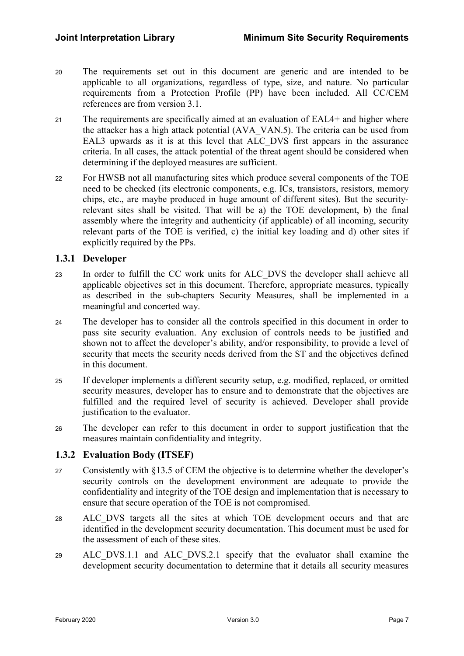- <sup>20</sup>The requirements set out in this document are generic and are intended to be applicable to all organizations, regardless of type, size, and nature. No particular requirements from a Protection Profile (PP) have been included. All CC/CEM references are from version 3.1.
- 21 The requirements are specifically aimed at an evaluation of EAL4+ and higher where the attacker has a high attack potential (AVA\_VAN.5). The criteria can be used from EAL3 upwards as it is at this level that ALC\_DVS first appears in the assurance criteria. In all cases, the attack potential of the threat agent should be considered when determining if the deployed measures are sufficient.
- <sup>22</sup>For HWSB not all manufacturing sites which produce several components of the TOE need to be checked (its electronic components, e.g. ICs, transistors, resistors, memory chips, etc., are maybe produced in huge amount of different sites). But the securityrelevant sites shall be visited. That will be a) the TOE development, b) the final assembly where the integrity and authenticity (if applicable) of all incoming, security relevant parts of the TOE is verified, c) the initial key loading and d) other sites if explicitly required by the PPs.

### 1.3.1 Developer

- 23 In order to fulfill the CC work units for ALC DVS the developer shall achieve all applicable objectives set in this document. Therefore, appropriate measures, typically as described in the sub-chapters Security Measures, shall be implemented in a meaningful and concerted way.
- <sup>24</sup>The developer has to consider all the controls specified in this document in order to pass site security evaluation. Any exclusion of controls needs to be justified and shown not to affect the developer's ability, and/or responsibility, to provide a level of security that meets the security needs derived from the ST and the objectives defined in this document.
- <sup>25</sup>If developer implements a different security setup, e.g. modified, replaced, or omitted security measures, developer has to ensure and to demonstrate that the objectives are fulfilled and the required level of security is achieved. Developer shall provide justification to the evaluator.
- <sup>26</sup>The developer can refer to this document in order to support justification that the measures maintain confidentiality and integrity.

### 1.3.2 Evaluation Body (ITSEF)

- <sup>27</sup>Consistently with §13.5 of CEM the objective is to determine whether the developer's security controls on the development environment are adequate to provide the confidentiality and integrity of the TOE design and implementation that is necessary to ensure that secure operation of the TOE is not compromised.
- <sup>28</sup>ALC\_DVS targets all the sites at which TOE development occurs and that are identified in the development security documentation. This document must be used for the assessment of each of these sites.
- 29 ALC DVS.1.1 and ALC DVS.2.1 specify that the evaluator shall examine the development security documentation to determine that it details all security measures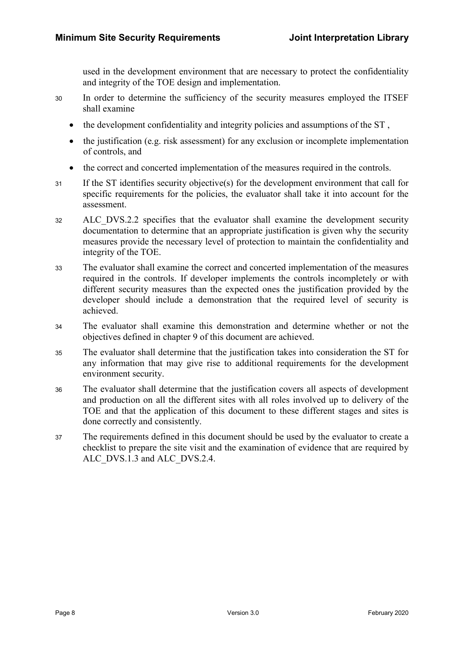used in the development environment that are necessary to protect the confidentiality and integrity of the TOE design and implementation.

- 30 In order to determine the sufficiency of the security measures employed the ITSEF shall examine
	- the development confidentiality and integrity policies and assumptions of the ST,
	- the justification (e.g. risk assessment) for any exclusion or incomplete implementation of controls, and
	- the correct and concerted implementation of the measures required in the controls.
- 31 If the ST identifies security objective(s) for the development environment that call for specific requirements for the policies, the evaluator shall take it into account for the assessment.
- <sup>32</sup>ALC\_DVS.2.2 specifies that the evaluator shall examine the development security documentation to determine that an appropriate justification is given why the security measures provide the necessary level of protection to maintain the confidentiality and integrity of the TOE.
- 33 The evaluator shall examine the correct and concerted implementation of the measures required in the controls. If developer implements the controls incompletely or with different security measures than the expected ones the justification provided by the developer should include a demonstration that the required level of security is achieved.
- <sup>34</sup>The evaluator shall examine this demonstration and determine whether or not the objectives defined in chapter 9 of this document are achieved.
- <sup>35</sup>The evaluator shall determine that the justification takes into consideration the ST for any information that may give rise to additional requirements for the development environment security.
- <sup>36</sup>The evaluator shall determine that the justification covers all aspects of development and production on all the different sites with all roles involved up to delivery of the TOE and that the application of this document to these different stages and sites is done correctly and consistently.
- 37 The requirements defined in this document should be used by the evaluator to create a checklist to prepare the site visit and the examination of evidence that are required by ALC DVS.1.3 and ALC DVS.2.4.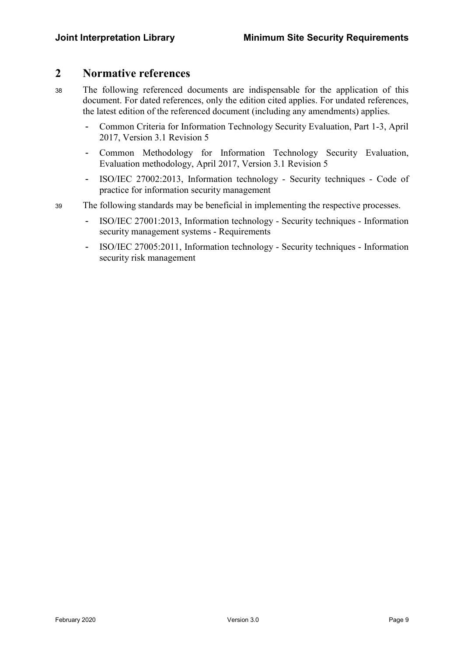### 2 Normative references

- <sup>38</sup>The following referenced documents are indispensable for the application of this document. For dated references, only the edition cited applies. For undated references, the latest edition of the referenced document (including any amendments) applies.
	- Common Criteria for Information Technology Security Evaluation, Part 1-3, April 2017, Version 3.1 Revision 5
	- Common Methodology for Information Technology Security Evaluation, Evaluation methodology, April 2017, Version 3.1 Revision 5
	- ISO/IEC 27002:2013, Information technology Security techniques Code of practice for information security management
- <sup>39</sup>The following standards may be beneficial in implementing the respective processes.
	- ISO/IEC 27001:2013, Information technology Security techniques Information security management systems - Requirements
	- ISO/IEC 27005:2011, Information technology Security techniques Information security risk management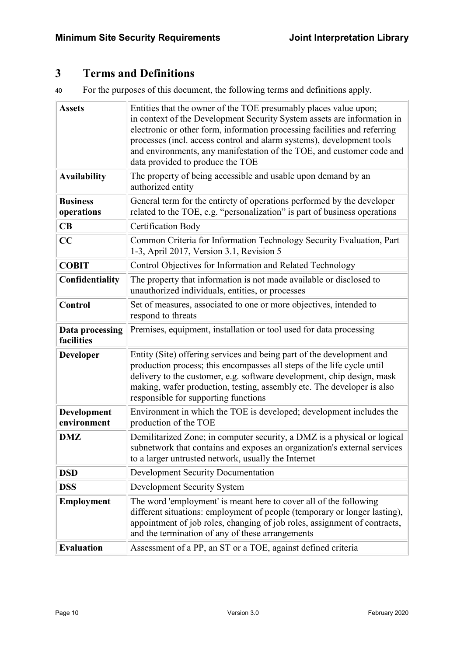### 3 Terms and Definitions

<sup>40</sup>For the purposes of this document, the following terms and definitions apply.

| <b>Assets</b>                 | Entities that the owner of the TOE presumably places value upon;<br>in context of the Development Security System assets are information in<br>electronic or other form, information processing facilities and referring<br>processes (incl. access control and alarm systems), development tools<br>and environments, any manifestation of the TOE, and customer code and<br>data provided to produce the TOE |
|-------------------------------|----------------------------------------------------------------------------------------------------------------------------------------------------------------------------------------------------------------------------------------------------------------------------------------------------------------------------------------------------------------------------------------------------------------|
| <b>Availability</b>           | The property of being accessible and usable upon demand by an<br>authorized entity                                                                                                                                                                                                                                                                                                                             |
| <b>Business</b><br>operations | General term for the entirety of operations performed by the developer<br>related to the TOE, e.g. "personalization" is part of business operations                                                                                                                                                                                                                                                            |
| CB                            | <b>Certification Body</b>                                                                                                                                                                                                                                                                                                                                                                                      |
| CC                            | Common Criteria for Information Technology Security Evaluation, Part<br>1-3, April 2017, Version 3.1, Revision 5                                                                                                                                                                                                                                                                                               |
| <b>COBIT</b>                  | Control Objectives for Information and Related Technology                                                                                                                                                                                                                                                                                                                                                      |
| Confidentiality               | The property that information is not made available or disclosed to<br>unauthorized individuals, entities, or processes                                                                                                                                                                                                                                                                                        |
| Control                       | Set of measures, associated to one or more objectives, intended to<br>respond to threats                                                                                                                                                                                                                                                                                                                       |
| Data processing<br>facilities | Premises, equipment, installation or tool used for data processing                                                                                                                                                                                                                                                                                                                                             |
| <b>Developer</b>              | Entity (Site) offering services and being part of the development and<br>production process; this encompasses all steps of the life cycle until<br>delivery to the customer, e.g. software development, chip design, mask<br>making, wafer production, testing, assembly etc. The developer is also<br>responsible for supporting functions                                                                    |
| Development<br>environment    | Environment in which the TOE is developed; development includes the<br>production of the TOE                                                                                                                                                                                                                                                                                                                   |
| <b>DMZ</b>                    | Demilitarized Zone; in computer security, a DMZ is a physical or logical<br>subnetwork that contains and exposes an organization's external services<br>to a larger untrusted network, usually the Internet                                                                                                                                                                                                    |
| <b>DSD</b>                    | <b>Development Security Documentation</b>                                                                                                                                                                                                                                                                                                                                                                      |
| <b>DSS</b>                    | Development Security System                                                                                                                                                                                                                                                                                                                                                                                    |
| <b>Employment</b>             | The word 'employment' is meant here to cover all of the following<br>different situations: employment of people (temporary or longer lasting),<br>appointment of job roles, changing of job roles, assignment of contracts,<br>and the termination of any of these arrangements                                                                                                                                |
| <b>Evaluation</b>             | Assessment of a PP, an ST or a TOE, against defined criteria                                                                                                                                                                                                                                                                                                                                                   |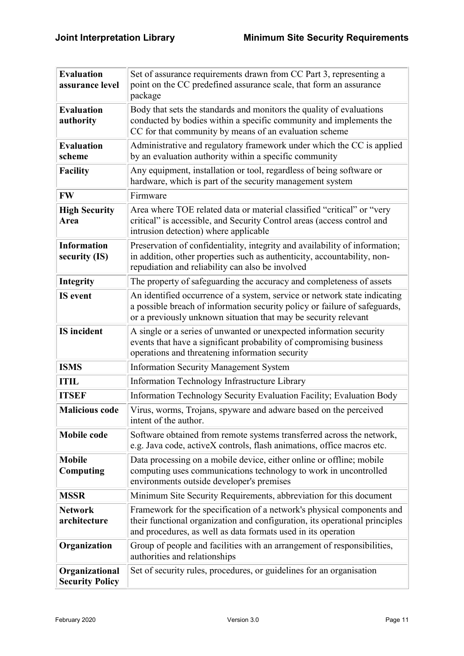| <b>Evaluation</b><br>assurance level     | Set of assurance requirements drawn from CC Part 3, representing a<br>point on the CC predefined assurance scale, that form an assurance<br>package                                                                        |
|------------------------------------------|----------------------------------------------------------------------------------------------------------------------------------------------------------------------------------------------------------------------------|
| <b>Evaluation</b><br>authority           | Body that sets the standards and monitors the quality of evaluations<br>conducted by bodies within a specific community and implements the<br>CC for that community by means of an evaluation scheme                       |
| <b>Evaluation</b><br>scheme              | Administrative and regulatory framework under which the CC is applied<br>by an evaluation authority within a specific community                                                                                            |
| <b>Facility</b>                          | Any equipment, installation or tool, regardless of being software or<br>hardware, which is part of the security management system                                                                                          |
| <b>FW</b>                                | Firmware                                                                                                                                                                                                                   |
| <b>High Security</b><br>Area             | Area where TOE related data or material classified "critical" or "very<br>critical" is accessible, and Security Control areas (access control and<br>intrusion detection) where applicable                                 |
| <b>Information</b><br>security (IS)      | Preservation of confidentiality, integrity and availability of information;<br>in addition, other properties such as authenticity, accountability, non-<br>repudiation and reliability can also be involved                |
| Integrity                                | The property of safeguarding the accuracy and completeness of assets                                                                                                                                                       |
| <b>IS</b> event                          | An identified occurrence of a system, service or network state indicating<br>a possible breach of information security policy or failure of safeguards,<br>or a previously unknown situation that may be security relevant |
| <b>IS</b> incident                       | A single or a series of unwanted or unexpected information security<br>events that have a significant probability of compromising business<br>operations and threatening information security                              |
| <b>ISMS</b>                              | <b>Information Security Management System</b>                                                                                                                                                                              |
| <b>ITIL</b>                              | Information Technology Infrastructure Library                                                                                                                                                                              |
| <b>ITSEF</b>                             | Information Technology Security Evaluation Facility; Evaluation Body                                                                                                                                                       |
| <b>Malicious code</b>                    | Virus, worms, Trojans, spyware and adware based on the perceived<br>intent of the author.                                                                                                                                  |
| <b>Mobile code</b>                       | Software obtained from remote systems transferred across the network,<br>e.g. Java code, activeX controls, flash animations, office macros etc.                                                                            |
| <b>Mobile</b><br>Computing               | Data processing on a mobile device, either online or offline; mobile<br>computing uses communications technology to work in uncontrolled<br>environments outside developer's premises                                      |
| <b>MSSR</b>                              | Minimum Site Security Requirements, abbreviation for this document                                                                                                                                                         |
| <b>Network</b><br>architecture           | Framework for the specification of a network's physical components and<br>their functional organization and configuration, its operational principles<br>and procedures, as well as data formats used in its operation     |
| Organization                             | Group of people and facilities with an arrangement of responsibilities,<br>authorities and relationships                                                                                                                   |
| Organizational<br><b>Security Policy</b> | Set of security rules, procedures, or guidelines for an organisation                                                                                                                                                       |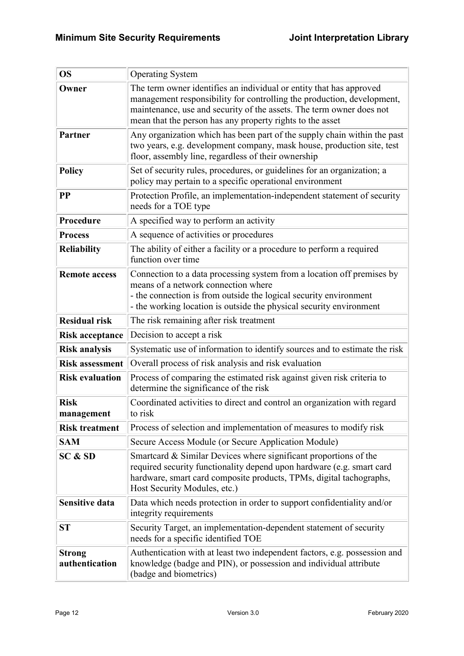| <b>OS</b>                       | <b>Operating System</b>                                                                                                                                                                                                                                                            |
|---------------------------------|------------------------------------------------------------------------------------------------------------------------------------------------------------------------------------------------------------------------------------------------------------------------------------|
| Owner                           | The term owner identifies an individual or entity that has approved<br>management responsibility for controlling the production, development,<br>maintenance, use and security of the assets. The term owner does not<br>mean that the person has any property rights to the asset |
| <b>Partner</b>                  | Any organization which has been part of the supply chain within the past<br>two years, e.g. development company, mask house, production site, test<br>floor, assembly line, regardless of their ownership                                                                          |
| <b>Policy</b>                   | Set of security rules, procedures, or guidelines for an organization; a<br>policy may pertain to a specific operational environment                                                                                                                                                |
| $\bf PP$                        | Protection Profile, an implementation-independent statement of security<br>needs for a TOE type                                                                                                                                                                                    |
| Procedure                       | A specified way to perform an activity                                                                                                                                                                                                                                             |
| <b>Process</b>                  | A sequence of activities or procedures                                                                                                                                                                                                                                             |
| <b>Reliability</b>              | The ability of either a facility or a procedure to perform a required<br>function over time                                                                                                                                                                                        |
| <b>Remote access</b>            | Connection to a data processing system from a location off premises by<br>means of a network connection where<br>- the connection is from outside the logical security environment<br>- the working location is outside the physical security environment                          |
| <b>Residual risk</b>            | The risk remaining after risk treatment                                                                                                                                                                                                                                            |
| <b>Risk acceptance</b>          | Decision to accept a risk                                                                                                                                                                                                                                                          |
| <b>Risk analysis</b>            | Systematic use of information to identify sources and to estimate the risk                                                                                                                                                                                                         |
| <b>Risk assessment</b>          | Overall process of risk analysis and risk evaluation                                                                                                                                                                                                                               |
| <b>Risk evaluation</b>          | Process of comparing the estimated risk against given risk criteria to<br>determine the significance of the risk                                                                                                                                                                   |
| <b>Risk</b><br>management       | Coordinated activities to direct and control an organization with regard<br>to risk                                                                                                                                                                                                |
| <b>Risk treatment</b>           | Process of selection and implementation of measures to modify risk                                                                                                                                                                                                                 |
| <b>SAM</b>                      | Secure Access Module (or Secure Application Module)                                                                                                                                                                                                                                |
| SC & SD                         | Smartcard & Similar Devices where significant proportions of the<br>required security functionality depend upon hardware (e.g. smart card<br>hardware, smart card composite products, TPMs, digital tachographs,<br>Host Security Modules, etc.)                                   |
| <b>Sensitive data</b>           | Data which needs protection in order to support confidentiality and/or<br>integrity requirements                                                                                                                                                                                   |
| ST                              | Security Target, an implementation-dependent statement of security<br>needs for a specific identified TOE                                                                                                                                                                          |
| <b>Strong</b><br>authentication | Authentication with at least two independent factors, e.g. possession and<br>knowledge (badge and PIN), or possession and individual attribute<br>(badge and biometrics)                                                                                                           |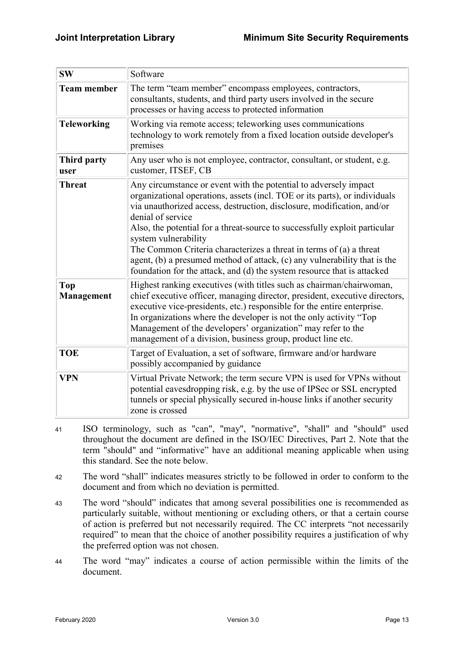| <b>SW</b>                  | Software                                                                                                                                                                                                                                                                                                                                                                                                                                                                                                                                                                           |
|----------------------------|------------------------------------------------------------------------------------------------------------------------------------------------------------------------------------------------------------------------------------------------------------------------------------------------------------------------------------------------------------------------------------------------------------------------------------------------------------------------------------------------------------------------------------------------------------------------------------|
| <b>Team member</b>         | The term "team member" encompass employees, contractors,<br>consultants, students, and third party users involved in the secure<br>processes or having access to protected information                                                                                                                                                                                                                                                                                                                                                                                             |
| <b>Teleworking</b>         | Working via remote access; teleworking uses communications<br>technology to work remotely from a fixed location outside developer's<br>premises                                                                                                                                                                                                                                                                                                                                                                                                                                    |
| <b>Third party</b><br>user | Any user who is not employee, contractor, consultant, or student, e.g.<br>customer, ITSEF, CB                                                                                                                                                                                                                                                                                                                                                                                                                                                                                      |
| <b>Threat</b>              | Any circumstance or event with the potential to adversely impact<br>organizational operations, assets (incl. TOE or its parts), or individuals<br>via unauthorized access, destruction, disclosure, modification, and/or<br>denial of service<br>Also, the potential for a threat-source to successfully exploit particular<br>system vulnerability<br>The Common Criteria characterizes a threat in terms of (a) a threat<br>agent, (b) a presumed method of attack, (c) any vulnerability that is the<br>foundation for the attack, and (d) the system resource that is attacked |
| <b>Top</b><br>Management   | Highest ranking executives (with titles such as chairman/chairwoman,<br>chief executive officer, managing director, president, executive directors,<br>executive vice-presidents, etc.) responsible for the entire enterprise.<br>In organizations where the developer is not the only activity "Top<br>Management of the developers' organization" may refer to the<br>management of a division, business group, product line etc.                                                                                                                                                |
| <b>TOE</b>                 | Target of Evaluation, a set of software, firmware and/or hardware<br>possibly accompanied by guidance                                                                                                                                                                                                                                                                                                                                                                                                                                                                              |
| <b>VPN</b>                 | Virtual Private Network; the term secure VPN is used for VPNs without<br>potential eavesdropping risk, e.g. by the use of IPSec or SSL encrypted<br>tunnels or special physically secured in-house links if another security<br>zone is crossed                                                                                                                                                                                                                                                                                                                                    |

- 41 ISO terminology, such as "can", "may", "normative", "shall" and "should" used throughout the document are defined in the ISO/IEC Directives, Part 2. Note that the term "should" and "informative" have an additional meaning applicable when using this standard. See the note below.
- <sup>42</sup>The word "shall" indicates measures strictly to be followed in order to conform to the document and from which no deviation is permitted.
- <sup>43</sup>The word "should" indicates that among several possibilities one is recommended as particularly suitable, without mentioning or excluding others, or that a certain course of action is preferred but not necessarily required. The CC interprets "not necessarily required" to mean that the choice of another possibility requires a justification of why the preferred option was not chosen.
- <sup>44</sup>The word "may" indicates a course of action permissible within the limits of the document.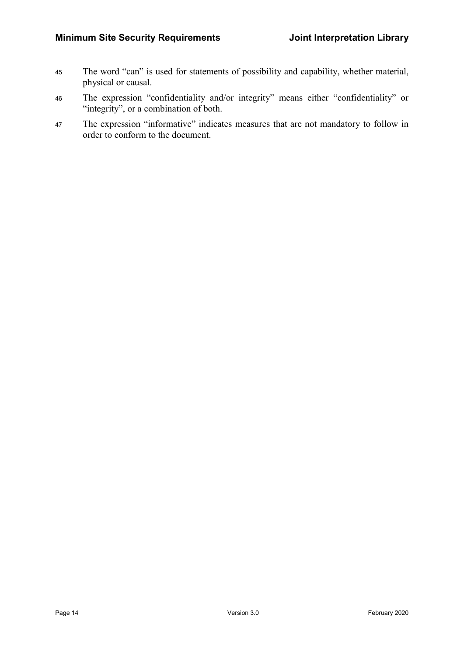- 45 The word "can" is used for statements of possibility and capability, whether material, physical or causal.
- <sup>46</sup>The expression "confidentiality and/or integrity" means either "confidentiality" or "integrity", or a combination of both.
- 47 The expression "informative" indicates measures that are not mandatory to follow in order to conform to the document.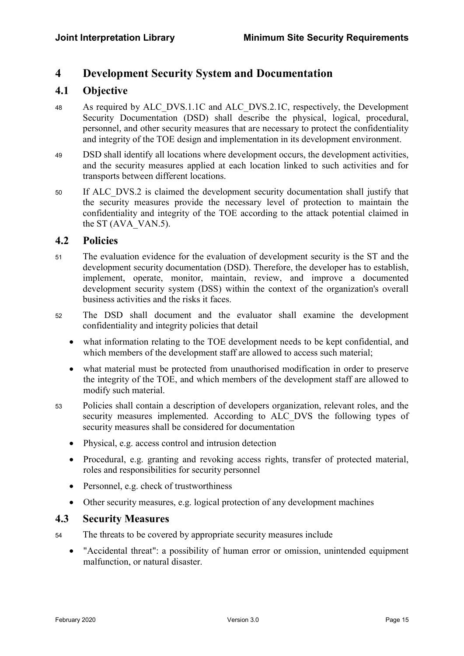### 4 Development Security System and Documentation

### 4.1 Objective

- 48 As required by ALC\_DVS.1.1C and ALC\_DVS.2.1C, respectively, the Development Security Documentation (DSD) shall describe the physical, logical, procedural, personnel, and other security measures that are necessary to protect the confidentiality and integrity of the TOE design and implementation in its development environment.
- <sup>49</sup>DSD shall identify all locations where development occurs, the development activities, and the security measures applied at each location linked to such activities and for transports between different locations.
- 50 If ALC DVS.2 is claimed the development security documentation shall justify that the security measures provide the necessary level of protection to maintain the confidentiality and integrity of the TOE according to the attack potential claimed in the ST (AVA\_VAN.5).

### 4.2 Policies

- 51 The evaluation evidence for the evaluation of development security is the ST and the development security documentation (DSD). Therefore, the developer has to establish, implement, operate, monitor, maintain, review, and improve a documented development security system (DSS) within the context of the organization's overall business activities and the risks it faces.
- 52 The DSD shall document and the evaluator shall examine the development confidentiality and integrity policies that detail
	- what information relating to the TOE development needs to be kept confidential, and which members of the development staff are allowed to access such material;
	- what material must be protected from unauthorised modification in order to preserve the integrity of the TOE, and which members of the development staff are allowed to modify such material.
- <sup>53</sup>Policies shall contain a description of developers organization, relevant roles, and the security measures implemented. According to ALC DVS the following types of security measures shall be considered for documentation
	- Physical, e.g. access control and intrusion detection
	- Procedural, e.g. granting and revoking access rights, transfer of protected material, roles and responsibilities for security personnel
	- Personnel, e.g. check of trustworthiness
	- Other security measures, e.g. logical protection of any development machines

### 4.3 Security Measures

- 54 The threats to be covered by appropriate security measures include
	- "Accidental threat": a possibility of human error or omission, unintended equipment malfunction, or natural disaster.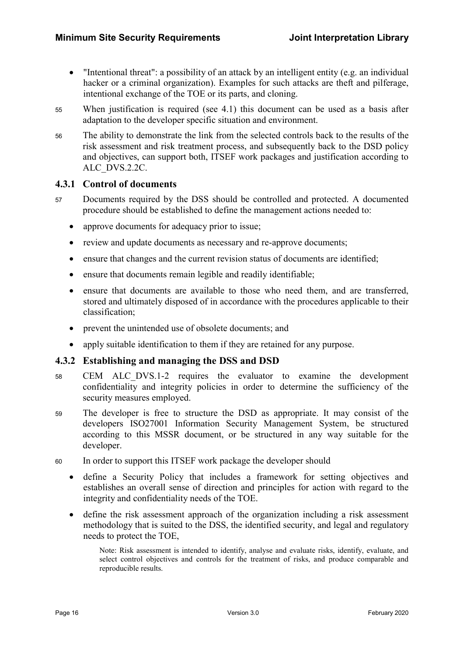- "Intentional threat": a possibility of an attack by an intelligent entity (e.g. an individual hacker or a criminal organization). Examples for such attacks are theft and pilferage, intentional exchange of the TOE or its parts, and cloning.
- <sup>55</sup>When justification is required (see 4.1) this document can be used as a basis after adaptation to the developer specific situation and environment.
- <sup>56</sup>The ability to demonstrate the link from the selected controls back to the results of the risk assessment and risk treatment process, and subsequently back to the DSD policy and objectives, can support both, ITSEF work packages and justification according to ALC\_DVS.2.2C.

### 4.3.1 Control of documents

- 57 Documents required by the DSS should be controlled and protected. A documented procedure should be established to define the management actions needed to:
	- approve documents for adequacy prior to issue;
	- review and update documents as necessary and re-approve documents;
	- ensure that changes and the current revision status of documents are identified;
	- ensure that documents remain legible and readily identifiable;
	- ensure that documents are available to those who need them, and are transferred, stored and ultimately disposed of in accordance with the procedures applicable to their classification;
	- prevent the unintended use of obsolete documents; and
	- apply suitable identification to them if they are retained for any purpose.

#### 4.3.2 Establishing and managing the DSS and DSD

- <sup>58</sup>CEM ALC\_DVS.1-2 requires the evaluator to examine the development confidentiality and integrity policies in order to determine the sufficiency of the security measures employed.
- 59 The developer is free to structure the DSD as appropriate. It may consist of the developers ISO27001 Information Security Management System, be structured according to this MSSR document, or be structured in any way suitable for the developer.
- <sup>60</sup>In order to support this ITSEF work package the developer should
	- define a Security Policy that includes a framework for setting objectives and establishes an overall sense of direction and principles for action with regard to the integrity and confidentiality needs of the TOE.
	- define the risk assessment approach of the organization including a risk assessment methodology that is suited to the DSS, the identified security, and legal and regulatory needs to protect the TOE,

Note: Risk assessment is intended to identify, analyse and evaluate risks, identify, evaluate, and select control objectives and controls for the treatment of risks, and produce comparable and reproducible results.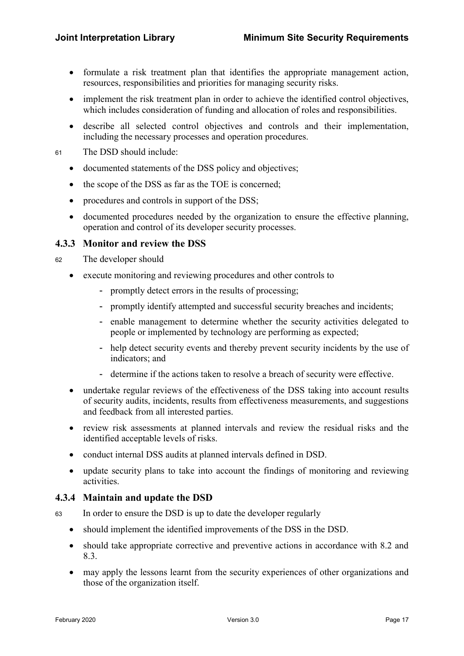- formulate a risk treatment plan that identifies the appropriate management action, resources, responsibilities and priorities for managing security risks.
- implement the risk treatment plan in order to achieve the identified control objectives, which includes consideration of funding and allocation of roles and responsibilities.
- describe all selected control objectives and controls and their implementation, including the necessary processes and operation procedures.
- 61 The DSD should include:
	- documented statements of the DSS policy and objectives;
	- the scope of the DSS as far as the TOE is concerned;
	- procedures and controls in support of the DSS;
	- documented procedures needed by the organization to ensure the effective planning, operation and control of its developer security processes.

### 4.3.3 Monitor and review the DSS

- <sup>62</sup>The developer should
	- execute monitoring and reviewing procedures and other controls to
		- promptly detect errors in the results of processing;
		- promptly identify attempted and successful security breaches and incidents;
		- enable management to determine whether the security activities delegated to people or implemented by technology are performing as expected;
		- help detect security events and thereby prevent security incidents by the use of indicators; and
		- determine if the actions taken to resolve a breach of security were effective.
	- undertake regular reviews of the effectiveness of the DSS taking into account results of security audits, incidents, results from effectiveness measurements, and suggestions and feedback from all interested parties.
	- review risk assessments at planned intervals and review the residual risks and the identified acceptable levels of risks.
	- conduct internal DSS audits at planned intervals defined in DSD.
	- update security plans to take into account the findings of monitoring and reviewing activities.

#### 4.3.4 Maintain and update the DSD

- <sup>63</sup>In order to ensure the DSD is up to date the developer regularly
	- should implement the identified improvements of the DSS in the DSD.
	- should take appropriate corrective and preventive actions in accordance with 8.2 and 8.3.
	- may apply the lessons learnt from the security experiences of other organizations and those of the organization itself.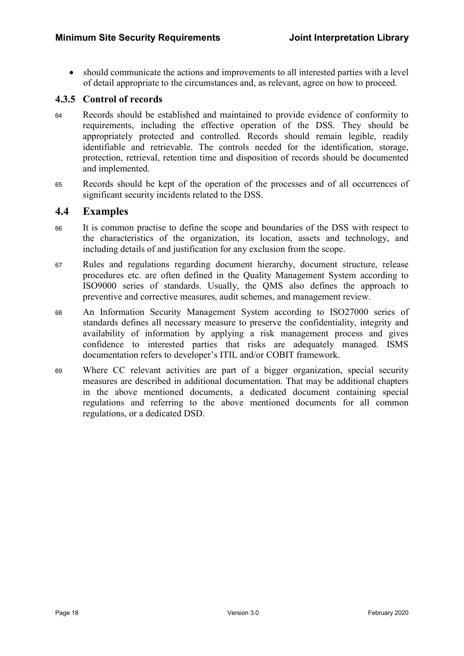should communicate the actions and improvements to all interested parties with a level of detail appropriate to the circumstances and, as relevant, agree on how to proceed.

### 4.3.5 Control of records

- <sup>64</sup>Records should be established and maintained to provide evidence of conformity to requirements, including the effective operation of the DSS. They should be appropriately protected and controlled. Records should remain legible, readily identifiable and retrievable. The controls needed for the identification, storage, protection, retrieval, retention time and disposition of records should be documented and implemented.
- <sup>65</sup>Records should be kept of the operation of the processes and of all occurrences of significant security incidents related to the DSS.

#### 4.4 Examples

- <sup>66</sup>It is common practise to define the scope and boundaries of the DSS with respect to the characteristics of the organization, its location, assets and technology, and including details of and justification for any exclusion from the scope.
- <sup>67</sup>Rules and regulations regarding document hierarchy, document structure, release procedures etc. are often defined in the Quality Management System according to ISO9000 series of standards. Usually, the QMS also defines the approach to preventive and corrective measures, audit schemes, and management review.
- <sup>68</sup>An Information Security Management System according to ISO27000 series of standards defines all necessary measure to preserve the confidentiality, integrity and availability of information by applying a risk management process and gives confidence to interested parties that risks are adequately managed. ISMS documentation refers to developer's ITIL and/or COBIT framework.
- <sup>69</sup>Where CC relevant activities are part of a bigger organization, special security measures are described in additional documentation. That may be additional chapters in the above mentioned documents, a dedicated document containing special regulations and referring to the above mentioned documents for all common regulations, or a dedicated DSD.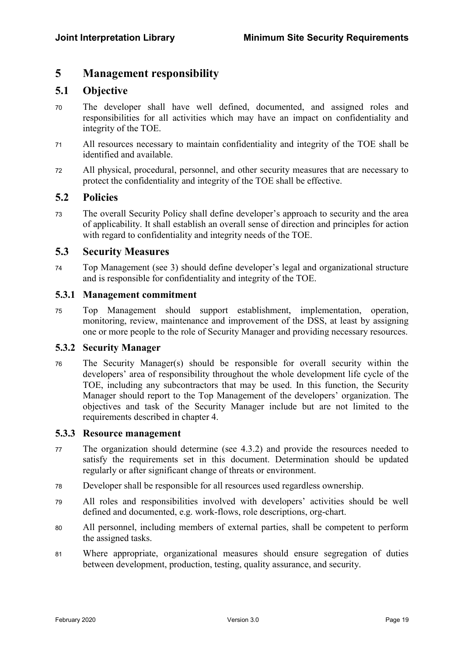### 5 Management responsibility

### 5.1 Objective

- <sup>70</sup>The developer shall have well defined, documented, and assigned roles and responsibilities for all activities which may have an impact on confidentiality and integrity of the TOE.
- <sup>71</sup>All resources necessary to maintain confidentiality and integrity of the TOE shall be identified and available.
- <sup>72</sup>All physical, procedural, personnel, and other security measures that are necessary to protect the confidentiality and integrity of the TOE shall be effective.

### 5.2 Policies

<sup>73</sup>The overall Security Policy shall define developer's approach to security and the area of applicability. It shall establish an overall sense of direction and principles for action with regard to confidentiality and integrity needs of the TOE.

#### 5.3 Security Measures

<sup>74</sup>Top Management (see 3) should define developer's legal and organizational structure and is responsible for confidentiality and integrity of the TOE.

#### 5.3.1 Management commitment

<sup>75</sup>Top Management should support establishment, implementation, operation, monitoring, review, maintenance and improvement of the DSS, at least by assigning one or more people to the role of Security Manager and providing necessary resources.

#### 5.3.2 Security Manager

 $76$  The Security Manager(s) should be responsible for overall security within the developers' area of responsibility throughout the whole development life cycle of the TOE, including any subcontractors that may be used. In this function, the Security Manager should report to the Top Management of the developers' organization. The objectives and task of the Security Manager include but are not limited to the requirements described in chapter 4.

#### 5.3.3 Resource management

- <sup>77</sup>The organization should determine (see 4.3.2) and provide the resources needed to satisfy the requirements set in this document. Determination should be updated regularly or after significant change of threats or environment.
- <sup>78</sup>Developer shall be responsible for all resources used regardless ownership.
- <sup>79</sup>All roles and responsibilities involved with developers' activities should be well defined and documented, e.g. work-flows, role descriptions, org-chart.
- <sup>80</sup>All personnel, including members of external parties, shall be competent to perform the assigned tasks.
- <sup>81</sup>Where appropriate, organizational measures should ensure segregation of duties between development, production, testing, quality assurance, and security.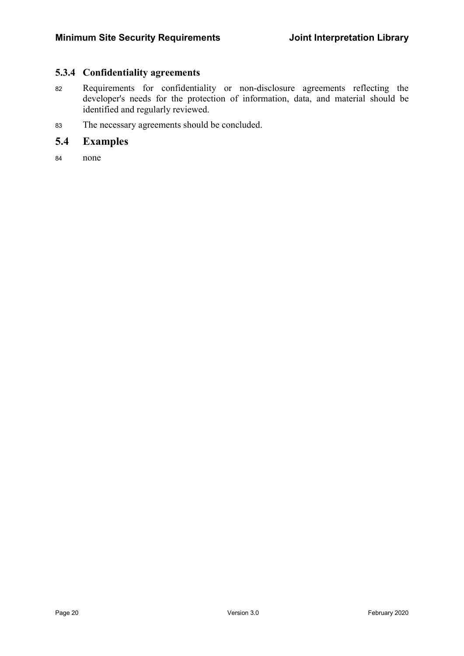### 5.3.4 Confidentiality agreements

- 82 Requirements for confidentiality or non-disclosure agreements reflecting the developer's needs for the protection of information, data, and material should be identified and regularly reviewed.
- 83 The necessary agreements should be concluded.

### 5.4 Examples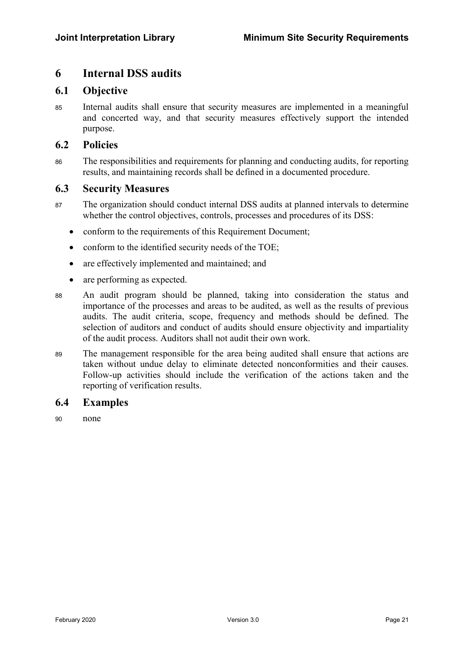### 6 Internal DSS audits

### 6.1 Objective

<sup>85</sup>Internal audits shall ensure that security measures are implemented in a meaningful and concerted way, and that security measures effectively support the intended purpose.

### 6.2 Policies

<sup>86</sup>The responsibilities and requirements for planning and conducting audits, for reporting results, and maintaining records shall be defined in a documented procedure.

### 6.3 Security Measures

- 87 The organization should conduct internal DSS audits at planned intervals to determine whether the control objectives, controls, processes and procedures of its DSS:
	- conform to the requirements of this Requirement Document;
	- conform to the identified security needs of the TOE;
	- are effectively implemented and maintained; and
	- are performing as expected.
- <sup>88</sup>An audit program should be planned, taking into consideration the status and importance of the processes and areas to be audited, as well as the results of previous audits. The audit criteria, scope, frequency and methods should be defined. The selection of auditors and conduct of audits should ensure objectivity and impartiality of the audit process. Auditors shall not audit their own work.
- <sup>89</sup>The management responsible for the area being audited shall ensure that actions are taken without undue delay to eliminate detected nonconformities and their causes. Follow-up activities should include the verification of the actions taken and the reporting of verification results.

### 6.4 Examples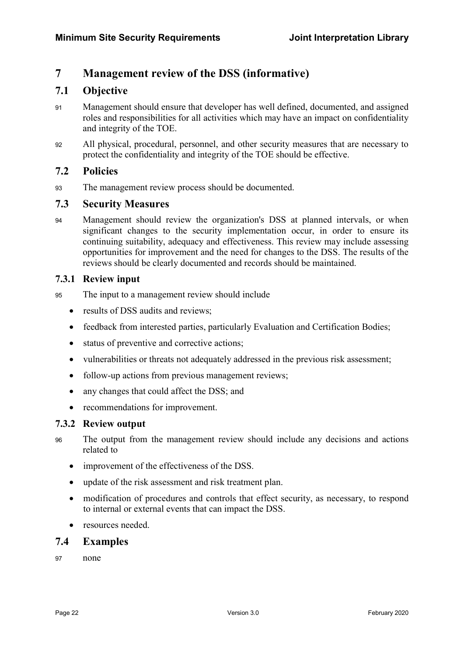### 7 Management review of the DSS (informative)

### 7.1 Objective

- <sup>91</sup>Management should ensure that developer has well defined, documented, and assigned roles and responsibilities for all activities which may have an impact on confidentiality and integrity of the TOE.
- <sup>92</sup>All physical, procedural, personnel, and other security measures that are necessary to protect the confidentiality and integrity of the TOE should be effective.

### 7.2 Policies

93 The management review process should be documented.

### 7.3 Security Measures

<sup>94</sup>Management should review the organization's DSS at planned intervals, or when significant changes to the security implementation occur, in order to ensure its continuing suitability, adequacy and effectiveness. This review may include assessing opportunities for improvement and the need for changes to the DSS. The results of the reviews should be clearly documented and records should be maintained.

### 7.3.1 Review input

- 95 The input to a management review should include
	- results of DSS audits and reviews:
	- feedback from interested parties, particularly Evaluation and Certification Bodies;
	- status of preventive and corrective actions;
	- vulnerabilities or threats not adequately addressed in the previous risk assessment;
	- follow-up actions from previous management reviews;
	- any changes that could affect the DSS; and
	- recommendations for improvement.

### 7.3.2 Review output

- <sup>96</sup>The output from the management review should include any decisions and actions related to
	- improvement of the effectiveness of the DSS.
	- update of the risk assessment and risk treatment plan.
	- modification of procedures and controls that effect security, as necessary, to respond to internal or external events that can impact the DSS.
	- resources needed.

### 7.4 Examples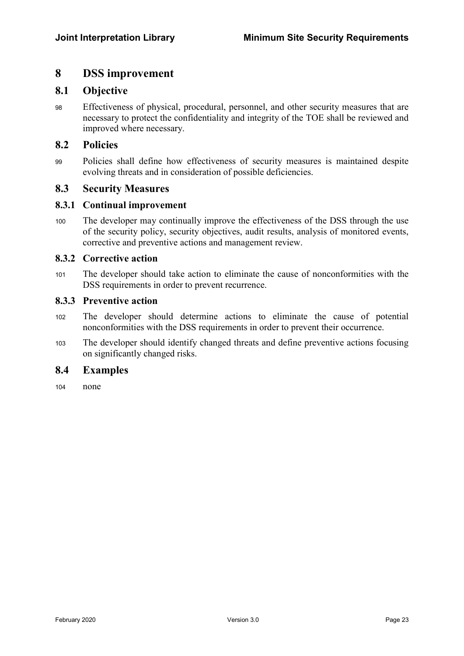### 8 DSS improvement

### 8.1 Objective

<sup>98</sup>Effectiveness of physical, procedural, personnel, and other security measures that are necessary to protect the confidentiality and integrity of the TOE shall be reviewed and improved where necessary.

### 8.2 Policies

<sup>99</sup>Policies shall define how effectiveness of security measures is maintained despite evolving threats and in consideration of possible deficiencies.

#### 8.3 Security Measures

#### 8.3.1 Continual improvement

<sup>100</sup>The developer may continually improve the effectiveness of the DSS through the use of the security policy, security objectives, audit results, analysis of monitored events, corrective and preventive actions and management review.

#### 8.3.2 Corrective action

<sup>101</sup>The developer should take action to eliminate the cause of nonconformities with the DSS requirements in order to prevent recurrence.

#### 8.3.3 Preventive action

- <sup>102</sup>The developer should determine actions to eliminate the cause of potential nonconformities with the DSS requirements in order to prevent their occurrence.
- <sup>103</sup>The developer should identify changed threats and define preventive actions focusing on significantly changed risks.

### 8.4 Examples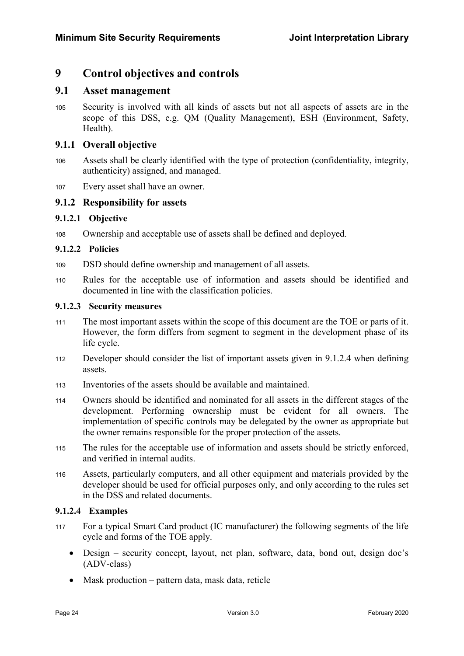### 9 Control objectives and controls

### 9.1 Asset management

<sup>105</sup>Security is involved with all kinds of assets but not all aspects of assets are in the scope of this DSS, e.g. QM (Quality Management), ESH (Environment, Safety, Health).

### 9.1.1 Overall objective

- <sup>106</sup>Assets shall be clearly identified with the type of protection (confidentiality, integrity, authenticity) assigned, and managed.
- <sup>107</sup>Every asset shall have an owner.

### 9.1.2 Responsibility for assets

### 9.1.2.1 Objective

108 Ownership and acceptable use of assets shall be defined and deployed.

#### 9.1.2.2 Policies

- 109 DSD should define ownership and management of all assets.
- 110 Rules for the acceptable use of information and assets should be identified and documented in line with the classification policies.

#### 9.1.2.3 Security measures

- 111 The most important assets within the scope of this document are the TOE or parts of it. However, the form differs from segment to segment in the development phase of its life cycle.
- 112 Developer should consider the list of important assets given in 9.1.2.4 when defining assets.
- <sup>113</sup>Inventories of the assets should be available and maintained.
- <sup>114</sup>Owners should be identified and nominated for all assets in the different stages of the development. Performing ownership must be evident for all owners. The implementation of specific controls may be delegated by the owner as appropriate but the owner remains responsible for the proper protection of the assets.
- 115 The rules for the acceptable use of information and assets should be strictly enforced, and verified in internal audits.
- <sup>116</sup>Assets, particularly computers, and all other equipment and materials provided by the developer should be used for official purposes only, and only according to the rules set in the DSS and related documents.

### 9.1.2.4 Examples

- <sup>117</sup>For a typical Smart Card product (IC manufacturer) the following segments of the life cycle and forms of the TOE apply.
	- Design security concept, layout, net plan, software, data, bond out, design doc's (ADV-class)
	- Mask production pattern data, mask data, reticle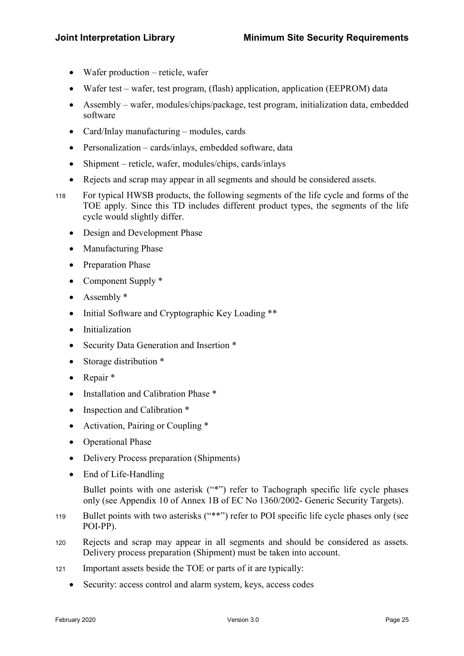- Wafer production reticle, wafer
- Wafer test wafer, test program, (flash) application, application (EEPROM) data
- Assembly wafer, modules/chips/package, test program, initialization data, embedded software
- Card/Inlay manufacturing modules, cards
- Personalization cards/inlays, embedded software, data
- Shipment reticle, wafer, modules/chips, cards/inlays
- Rejects and scrap may appear in all segments and should be considered assets.
- <sup>118</sup>For typical HWSB products, the following segments of the life cycle and forms of the TOE apply. Since this TD includes different product types, the segments of the life cycle would slightly differ.
	- Design and Development Phase
	- Manufacturing Phase
	- Preparation Phase
	- Component Supply \*
	- Assembly \*
	- Initial Software and Cryptographic Key Loading \*\*
	- Initialization
	- Security Data Generation and Insertion \*
	- Storage distribution \*
	- Repair \*
	- Installation and Calibration Phase \*
	- Inspection and Calibration \*
	- Activation, Pairing or Coupling \*
	- Operational Phase
	- Delivery Process preparation (Shipments)
	- End of Life-Handling

Bullet points with one asterisk ("\*") refer to Tachograph specific life cycle phases only (see Appendix 10 of Annex 1B of EC No 1360/2002- Generic Security Targets).

- 119 Bullet points with two asterisks ("\*\*") refer to POI specific life cycle phases only (see POI-PP).
- <sup>120</sup>Rejects and scrap may appear in all segments and should be considered as assets. Delivery process preparation (Shipment) must be taken into account.
- 121 Important assets beside the TOE or parts of it are typically:
	- Security: access control and alarm system, keys, access codes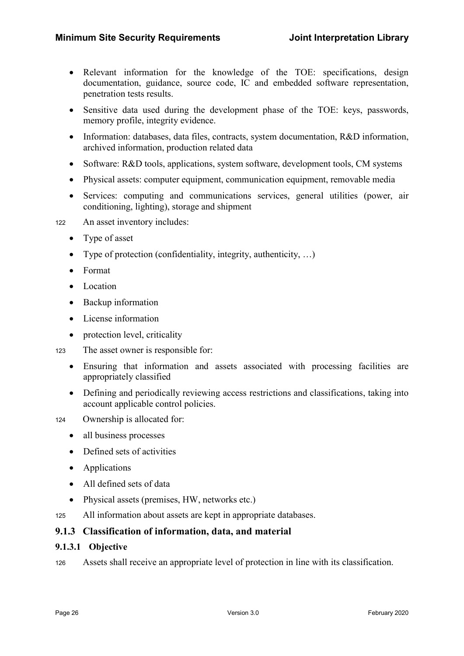- Relevant information for the knowledge of the TOE: specifications, design documentation, guidance, source code, IC and embedded software representation, penetration tests results.
- Sensitive data used during the development phase of the TOE: keys, passwords, memory profile, integrity evidence.
- Information: databases, data files, contracts, system documentation, R&D information, archived information, production related data
- Software: R&D tools, applications, system software, development tools, CM systems
- Physical assets: computer equipment, communication equipment, removable media
- Services: computing and communications services, general utilities (power, air conditioning, lighting), storage and shipment
- 122 An asset inventory includes:
	- Type of asset
	- Type of protection (confidentiality, integrity, authenticity, …)
	- Format
	- Location
	- Backup information
	- License information
	- protection level, criticality
- 123 The asset owner is responsible for:
	- Ensuring that information and assets associated with processing facilities are appropriately classified
	- Defining and periodically reviewing access restrictions and classifications, taking into account applicable control policies.

124 Ownership is allocated for:

- all business processes
- Defined sets of activities
- Applications
- All defined sets of data
- Physical assets (premises, HW, networks etc.)
- 125 All information about assets are kept in appropriate databases.

### 9.1.3 Classification of information, data, and material

#### 9.1.3.1 Objective

126 Assets shall receive an appropriate level of protection in line with its classification.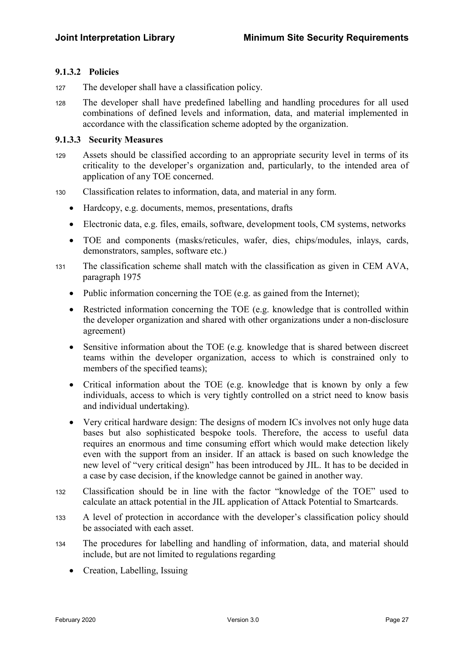#### 9.1.3.2 Policies

- 127 The developer shall have a classification policy.
- <sup>128</sup>The developer shall have predefined labelling and handling procedures for all used combinations of defined levels and information, data, and material implemented in accordance with the classification scheme adopted by the organization.

#### 9.1.3.3 Security Measures

- <sup>129</sup>Assets should be classified according to an appropriate security level in terms of its criticality to the developer's organization and, particularly, to the intended area of application of any TOE concerned.
- <sup>130</sup>Classification relates to information, data, and material in any form.
	- Hardcopy, e.g. documents, memos, presentations, drafts
	- Electronic data, e.g. files, emails, software, development tools, CM systems, networks
	- TOE and components (masks/reticules, wafer, dies, chips/modules, inlays, cards, demonstrators, samples, software etc.)
- <sup>131</sup>The classification scheme shall match with the classification as given in CEM AVA, paragraph 1975
	- Public information concerning the TOE (e.g. as gained from the Internet);
	- Restricted information concerning the TOE (e.g. knowledge that is controlled within the developer organization and shared with other organizations under a non-disclosure agreement)
	- Sensitive information about the TOE (e.g. knowledge that is shared between discreet teams within the developer organization, access to which is constrained only to members of the specified teams);
	- Critical information about the TOE (e.g. knowledge that is known by only a few individuals, access to which is very tightly controlled on a strict need to know basis and individual undertaking).
	- Very critical hardware design: The designs of modern ICs involves not only huge data bases but also sophisticated bespoke tools. Therefore, the access to useful data requires an enormous and time consuming effort which would make detection likely even with the support from an insider. If an attack is based on such knowledge the new level of "very critical design" has been introduced by JIL. It has to be decided in a case by case decision, if the knowledge cannot be gained in another way.
- <sup>132</sup>Classification should be in line with the factor "knowledge of the TOE" used to calculate an attack potential in the JIL application of Attack Potential to Smartcards.
- <sup>133</sup>A level of protection in accordance with the developer's classification policy should be associated with each asset.
- <sup>134</sup>The procedures for labelling and handling of information, data, and material should include, but are not limited to regulations regarding
	- Creation, Labelling, Issuing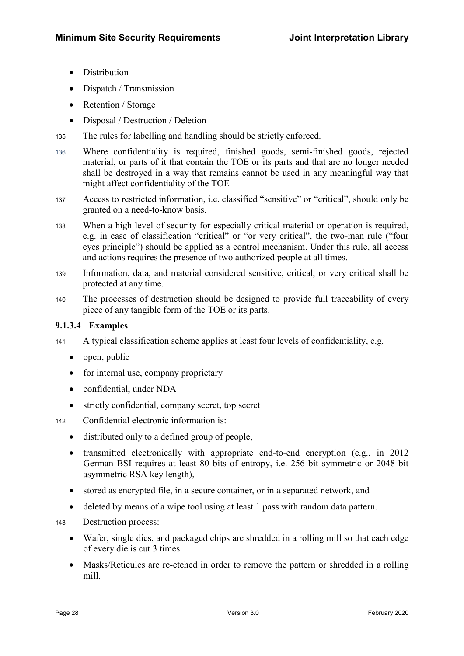- Distribution
- Dispatch / Transmission
- Retention / Storage
- Disposal / Destruction / Deletion
- 135 The rules for labelling and handling should be strictly enforced.
- <sup>136</sup>Where confidentiality is required, finished goods, semi-finished goods, rejected material, or parts of it that contain the TOE or its parts and that are no longer needed shall be destroyed in a way that remains cannot be used in any meaningful way that might affect confidentiality of the TOE
- 137 Access to restricted information, i.e. classified "sensitive" or "critical", should only be granted on a need-to-know basis.
- <sup>138</sup>When a high level of security for especially critical material or operation is required, e.g. in case of classification "critical" or "or very critical", the two-man rule ("four eyes principle") should be applied as a control mechanism. Under this rule, all access and actions requires the presence of two authorized people at all times.
- <sup>139</sup>Information, data, and material considered sensitive, critical, or very critical shall be protected at any time.
- 140 The processes of destruction should be designed to provide full traceability of every piece of any tangible form of the TOE or its parts.

### 9.1.3.4 Examples

- 141 A typical classification scheme applies at least four levels of confidentiality, e.g.
	- $\bullet$  open, public
	- for internal use, company proprietary
	- confidential, under NDA
	- strictly confidential, company secret, top secret
- <sup>142</sup>Confidential electronic information is:
	- distributed only to a defined group of people,
	- transmitted electronically with appropriate end-to-end encryption (e.g., in 2012) German BSI requires at least 80 bits of entropy, i.e. 256 bit symmetric or 2048 bit asymmetric RSA key length),
	- stored as encrypted file, in a secure container, or in a separated network, and
	- deleted by means of a wipe tool using at least 1 pass with random data pattern.
- 143 Destruction process:
	- Wafer, single dies, and packaged chips are shredded in a rolling mill so that each edge of every die is cut 3 times.
	- Masks/Reticules are re-etched in order to remove the pattern or shredded in a rolling mill.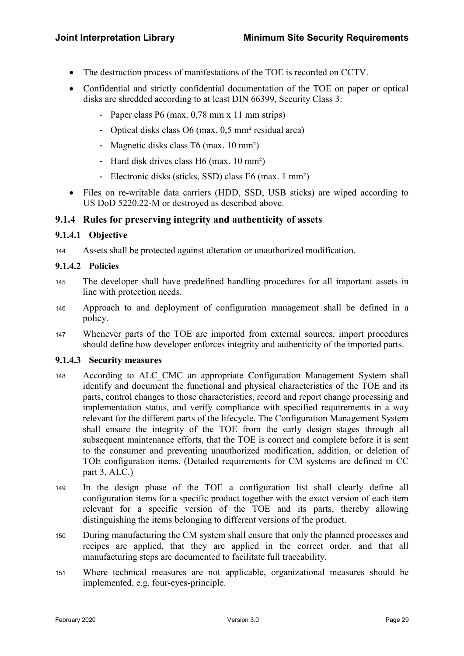- The destruction process of manifestations of the TOE is recorded on CCTV.
- Confidential and strictly confidential documentation of the TOE on paper or optical disks are shredded according to at least DIN 66399, Security Class 3:
	- Paper class P6 (max. 0,78 mm x 11 mm strips)
	- Optical disks class O6 (max. 0,5 mm<sup>2</sup> residual area)
	- Magnetic disks class T6 (max. 10 mm<sup>2</sup>)
	- Hard disk drives class H6 (max. 10 mm<sup>2</sup>)
	- Electronic disks (sticks, SSD) class E6 (max. 1 mm²)
- Files on re-writable data carriers (HDD, SSD, USB sticks) are wiped according to US DoD 5220.22-M or destroyed as described above.

#### 9.1.4 Rules for preserving integrity and authenticity of assets

#### 9.1.4.1 Objective

<sup>144</sup>Assets shall be protected against alteration or unauthorized modification.

#### 9.1.4.2 Policies

- 145 The developer shall have predefined handling procedures for all important assets in line with protection needs.
- 146 Approach to and deployment of configuration management shall be defined in a policy.
- 147 Whenever parts of the TOE are imported from external sources, import procedures should define how developer enforces integrity and authenticity of the imported parts.

#### 9.1.4.3 Security measures

- 148 According to ALC CMC an appropriate Configuration Management System shall identify and document the functional and physical characteristics of the TOE and its parts, control changes to those characteristics, record and report change processing and implementation status, and verify compliance with specified requirements in a way relevant for the different parts of the lifecycle. The Configuration Management System shall ensure the integrity of the TOE from the early design stages through all subsequent maintenance efforts, that the TOE is correct and complete before it is sent to the consumer and preventing unauthorized modification, addition, or deletion of TOE configuration items. (Detailed requirements for CM systems are defined in CC part 3, ALC.)
- 149 In the design phase of the TOE a configuration list shall clearly define all configuration items for a specific product together with the exact version of each item relevant for a specific version of the TOE and its parts, thereby allowing distinguishing the items belonging to different versions of the product.
- 150 During manufacturing the CM system shall ensure that only the planned processes and recipes are applied, that they are applied in the correct order, and that all manufacturing steps are documented to facilitate full traceability.
- <sup>151</sup>Where technical measures are not applicable, organizational measures should be implemented, e.g. four-eyes-principle.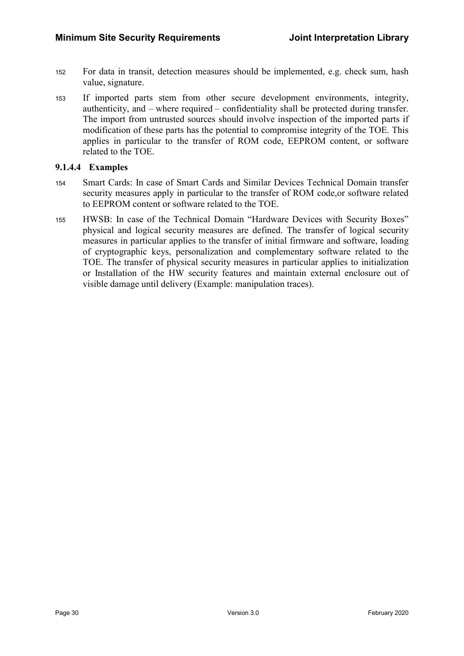- 152 For data in transit, detection measures should be implemented, e.g. check sum, hash value, signature.
- <sup>153</sup>If imported parts stem from other secure development environments, integrity, authenticity, and – where required – confidentiality shall be protected during transfer. The import from untrusted sources should involve inspection of the imported parts if modification of these parts has the potential to compromise integrity of the TOE. This applies in particular to the transfer of ROM code, EEPROM content, or software related to the TOE.

#### 9.1.4.4 Examples

- 154 Smart Cards: In case of Smart Cards and Similar Devices Technical Domain transfer security measures apply in particular to the transfer of ROM code,or software related to EEPROM content or software related to the TOE.
- <sup>155</sup>HWSB: In case of the Technical Domain "Hardware Devices with Security Boxes" physical and logical security measures are defined. The transfer of logical security measures in particular applies to the transfer of initial firmware and software, loading of cryptographic keys, personalization and complementary software related to the TOE. The transfer of physical security measures in particular applies to initialization or Installation of the HW security features and maintain external enclosure out of visible damage until delivery (Example: manipulation traces).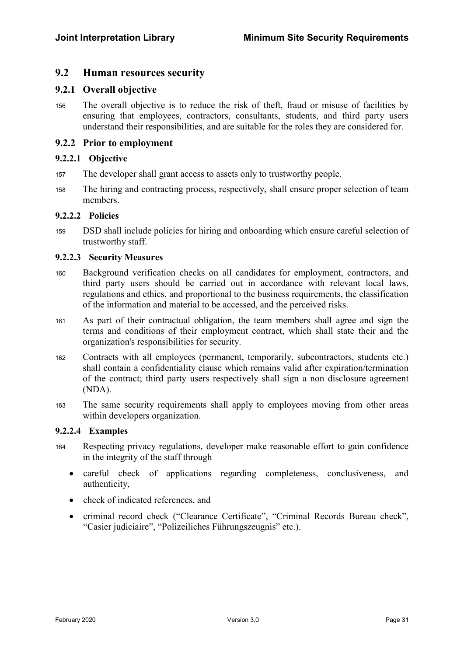### 9.2 Human resources security

#### 9.2.1 Overall objective

156 The overall objective is to reduce the risk of theft, fraud or misuse of facilities by ensuring that employees, contractors, consultants, students, and third party users understand their responsibilities, and are suitable for the roles they are considered for.

#### 9.2.2 Prior to employment

#### 9.2.2.1 Objective

- 157 The developer shall grant access to assets only to trustworthy people.
- 158 The hiring and contracting process, respectively, shall ensure proper selection of team members.

#### 9.2.2.2 Policies

<sup>159</sup>DSD shall include policies for hiring and onboarding which ensure careful selection of trustworthy staff.

#### 9.2.2.3 Security Measures

- <sup>160</sup>Background verification checks on all candidates for employment, contractors, and third party users should be carried out in accordance with relevant local laws, regulations and ethics, and proportional to the business requirements, the classification of the information and material to be accessed, and the perceived risks.
- <sup>161</sup>As part of their contractual obligation, the team members shall agree and sign the terms and conditions of their employment contract, which shall state their and the organization's responsibilities for security.
- 162 Contracts with all employees (permanent, temporarily, subcontractors, students etc.) shall contain a confidentiality clause which remains valid after expiration/termination of the contract; third party users respectively shall sign a non disclosure agreement (NDA).
- <sup>163</sup>The same security requirements shall apply to employees moving from other areas within developers organization.

#### 9.2.2.4 Examples

- <sup>164</sup>Respecting privacy regulations, developer make reasonable effort to gain confidence in the integrity of the staff through
	- careful check of applications regarding completeness, conclusiveness, and authenticity,
	- check of indicated references, and
	- criminal record check ("Clearance Certificate", "Criminal Records Bureau check", "Casier judiciaire", "Polizeiliches Führungszeugnis" etc.).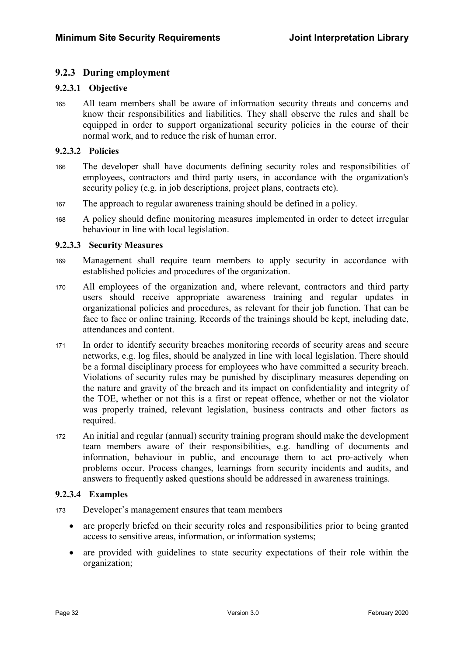### 9.2.3 During employment

#### 9.2.3.1 Objective

<sup>165</sup>All team members shall be aware of information security threats and concerns and know their responsibilities and liabilities. They shall observe the rules and shall be equipped in order to support organizational security policies in the course of their normal work, and to reduce the risk of human error.

#### 9.2.3.2 Policies

- 166 The developer shall have documents defining security roles and responsibilities of employees, contractors and third party users, in accordance with the organization's security policy (e.g. in job descriptions, project plans, contracts etc).
- <sup>167</sup>The approach to regular awareness training should be defined in a policy.
- <sup>168</sup>A policy should define monitoring measures implemented in order to detect irregular behaviour in line with local legislation.

#### 9.2.3.3 Security Measures

- <sup>169</sup>Management shall require team members to apply security in accordance with established policies and procedures of the organization.
- <sup>170</sup>All employees of the organization and, where relevant, contractors and third party users should receive appropriate awareness training and regular updates in organizational policies and procedures, as relevant for their job function. That can be face to face or online training. Records of the trainings should be kept, including date, attendances and content.
- 171 In order to identify security breaches monitoring records of security areas and secure networks, e.g. log files, should be analyzed in line with local legislation. There should be a formal disciplinary process for employees who have committed a security breach. Violations of security rules may be punished by disciplinary measures depending on the nature and gravity of the breach and its impact on confidentiality and integrity of the TOE, whether or not this is a first or repeat offence, whether or not the violator was properly trained, relevant legislation, business contracts and other factors as required.
- <sup>172</sup>An initial and regular (annual) security training program should make the development team members aware of their responsibilities, e.g. handling of documents and information, behaviour in public, and encourage them to act pro-actively when problems occur. Process changes, learnings from security incidents and audits, and answers to frequently asked questions should be addressed in awareness trainings.

#### 9.2.3.4 Examples

- <sup>173</sup>Developer's management ensures that team members
	- are properly briefed on their security roles and responsibilities prior to being granted access to sensitive areas, information, or information systems;
	- are provided with guidelines to state security expectations of their role within the organization;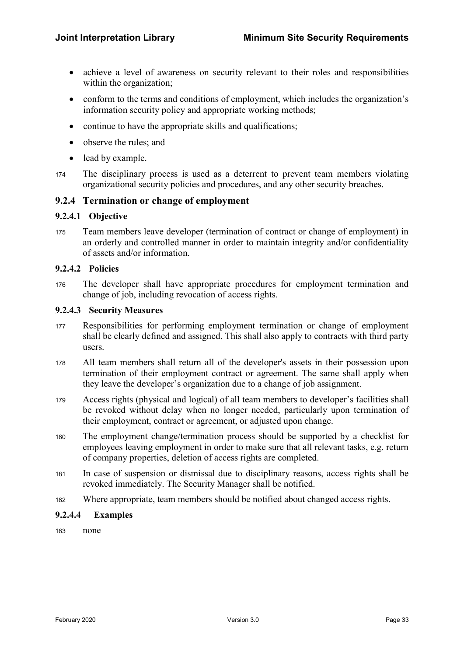- achieve a level of awareness on security relevant to their roles and responsibilities within the organization:
- conform to the terms and conditions of employment, which includes the organization's information security policy and appropriate working methods;
- continue to have the appropriate skills and qualifications;
- observe the rules; and
- lead by example.
- <sup>174</sup>The disciplinary process is used as a deterrent to prevent team members violating organizational security policies and procedures, and any other security breaches.

### 9.2.4 Termination or change of employment

#### 9.2.4.1 Objective

175 Team members leave developer (termination of contract or change of employment) in an orderly and controlled manner in order to maintain integrity and/or confidentiality of assets and/or information.

#### 9.2.4.2 Policies

176 The developer shall have appropriate procedures for employment termination and change of job, including revocation of access rights.

#### 9.2.4.3 Security Measures

- <sup>177</sup>Responsibilities for performing employment termination or change of employment shall be clearly defined and assigned. This shall also apply to contracts with third party users.
- <sup>178</sup>All team members shall return all of the developer's assets in their possession upon termination of their employment contract or agreement. The same shall apply when they leave the developer's organization due to a change of job assignment.
- <sup>179</sup>Access rights (physical and logical) of all team members to developer's facilities shall be revoked without delay when no longer needed, particularly upon termination of their employment, contract or agreement, or adjusted upon change.
- <sup>180</sup>The employment change/termination process should be supported by a checklist for employees leaving employment in order to make sure that all relevant tasks, e.g. return of company properties, deletion of access rights are completed.
- <sup>181</sup>In case of suspension or dismissal due to disciplinary reasons, access rights shall be revoked immediately. The Security Manager shall be notified.
- <sup>182</sup>Where appropriate, team members should be notified about changed access rights.

#### 9.2.4.4 Examples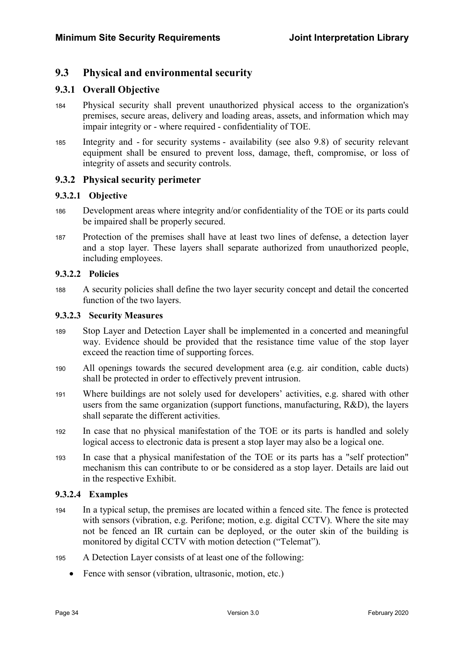### 9.3 Physical and environmental security

### 9.3.1 Overall Objective

- <sup>184</sup>Physical security shall prevent unauthorized physical access to the organization's premises, secure areas, delivery and loading areas, assets, and information which may impair integrity or - where required - confidentiality of TOE.
- <sup>185</sup>Integrity and for security systems availability (see also 9.8) of security relevant equipment shall be ensured to prevent loss, damage, theft, compromise, or loss of integrity of assets and security controls.

### 9.3.2 Physical security perimeter

#### 9.3.2.1 Objective

- 186 Development areas where integrity and/or confidentiality of the TOE or its parts could be impaired shall be properly secured.
- <sup>187</sup>Protection of the premises shall have at least two lines of defense, a detection layer and a stop layer. These layers shall separate authorized from unauthorized people, including employees.

#### 9.3.2.2 Policies

<sup>188</sup>A security policies shall define the two layer security concept and detail the concerted function of the two layers.

#### 9.3.2.3 Security Measures

- 189 Stop Layer and Detection Layer shall be implemented in a concerted and meaningful way. Evidence should be provided that the resistance time value of the stop layer exceed the reaction time of supporting forces.
- <sup>190</sup>All openings towards the secured development area (e.g. air condition, cable ducts) shall be protected in order to effectively prevent intrusion.
- <sup>191</sup>Where buildings are not solely used for developers' activities, e.g. shared with other users from the same organization (support functions, manufacturing, R&D), the layers shall separate the different activities.
- <sup>192</sup>In case that no physical manifestation of the TOE or its parts is handled and solely logical access to electronic data is present a stop layer may also be a logical one.
- <sup>193</sup>In case that a physical manifestation of the TOE or its parts has a "self protection" mechanism this can contribute to or be considered as a stop layer. Details are laid out in the respective Exhibit.

#### 9.3.2.4 Examples

- <sup>194</sup>In a typical setup, the premises are located within a fenced site. The fence is protected with sensors (vibration, e.g. Perifone; motion, e.g. digital CCTV). Where the site may not be fenced an IR curtain can be deployed, or the outer skin of the building is monitored by digital CCTV with motion detection ("Telemat").
- <sup>195</sup>A Detection Layer consists of at least one of the following:
	- Fence with sensor (vibration, ultrasonic, motion, etc.)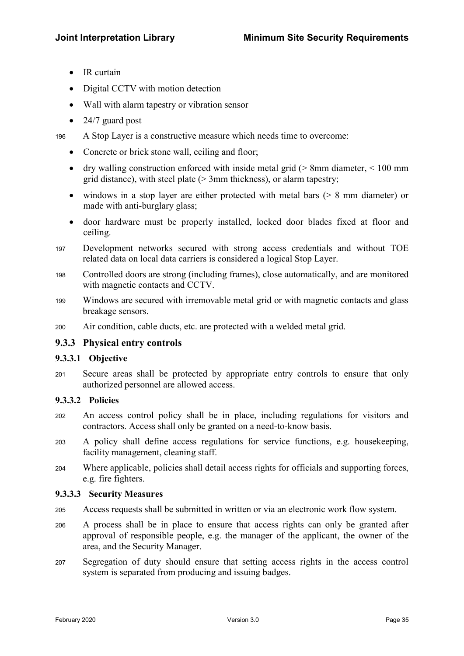- IR curtain
- Digital CCTV with motion detection
- Wall with alarm tapestry or vibration sensor
- 24/7 guard post

<sup>196</sup>A Stop Layer is a constructive measure which needs time to overcome:

- Concrete or brick stone wall, ceiling and floor;
- dry walling construction enforced with inside metal grid ( $> 8$ mm diameter,  $< 100$  mm grid distance), with steel plate (> 3mm thickness), or alarm tapestry;
- windows in a stop layer are either protected with metal bars  $($  > 8 mm diameter) or made with anti-burglary glass;
- door hardware must be properly installed, locked door blades fixed at floor and ceiling.
- <sup>197</sup>Development networks secured with strong access credentials and without TOE related data on local data carriers is considered a logical Stop Layer.
- <sup>198</sup>Controlled doors are strong (including frames), close automatically, and are monitored with magnetic contacts and CCTV.
- 199 Windows are secured with irremovable metal grid or with magnetic contacts and glass breakage sensors.
- <sup>200</sup>Air condition, cable ducts, etc. are protected with a welded metal grid.

#### 9.3.3 Physical entry controls

### 9.3.3.1 Objective

<sup>201</sup>Secure areas shall be protected by appropriate entry controls to ensure that only authorized personnel are allowed access.

#### 9.3.3.2 Policies

- <sup>202</sup>An access control policy shall be in place, including regulations for visitors and contractors. Access shall only be granted on a need-to-know basis.
- <sup>203</sup>A policy shall define access regulations for service functions, e.g. housekeeping, facility management, cleaning staff.
- <sup>204</sup>Where applicable, policies shall detail access rights for officials and supporting forces, e.g. fire fighters.

#### 9.3.3.3 Security Measures

- <sup>205</sup>Access requests shall be submitted in written or via an electronic work flow system.
- <sup>206</sup>A process shall be in place to ensure that access rights can only be granted after approval of responsible people, e.g. the manager of the applicant, the owner of the area, and the Security Manager.
- <sup>207</sup>Segregation of duty should ensure that setting access rights in the access control system is separated from producing and issuing badges.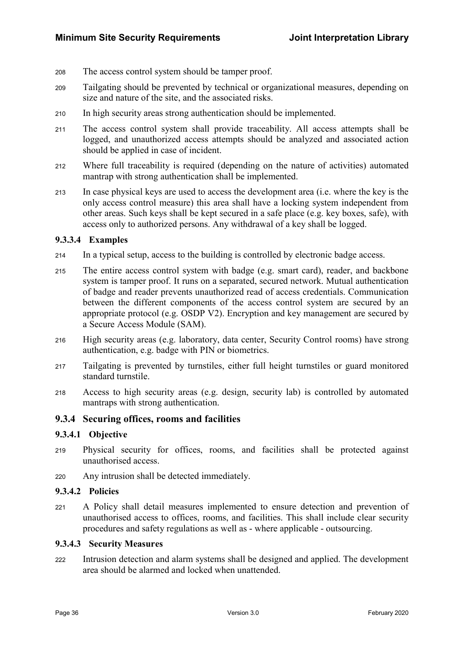- 208 The access control system should be tamper proof.
- <sup>209</sup>Tailgating should be prevented by technical or organizational measures, depending on size and nature of the site, and the associated risks.
- 210 In high security areas strong authentication should be implemented.
- 211 The access control system shall provide traceability. All access attempts shall be logged, and unauthorized access attempts should be analyzed and associated action should be applied in case of incident.
- <sup>212</sup>Where full traceability is required (depending on the nature of activities) automated mantrap with strong authentication shall be implemented.
- 213 In case physical keys are used to access the development area (i.e. where the key is the only access control measure) this area shall have a locking system independent from other areas. Such keys shall be kept secured in a safe place (e.g. key boxes, safe), with access only to authorized persons. Any withdrawal of a key shall be logged.

#### 9.3.3.4 Examples

- <sup>214</sup>In a typical setup, access to the building is controlled by electronic badge access.
- 215 The entire access control system with badge (e.g. smart card), reader, and backbone system is tamper proof. It runs on a separated, secured network. Mutual authentication of badge and reader prevents unauthorized read of access credentials. Communication between the different components of the access control system are secured by an appropriate protocol (e.g. OSDP V2). Encryption and key management are secured by a Secure Access Module (SAM).
- <sup>216</sup>High security areas (e.g. laboratory, data center, Security Control rooms) have strong authentication, e.g. badge with PIN or biometrics.
- <sup>217</sup>Tailgating is prevented by turnstiles, either full height turnstiles or guard monitored standard turnstile.
- <sup>218</sup>Access to high security areas (e.g. design, security lab) is controlled by automated mantraps with strong authentication.

#### 9.3.4 Securing offices, rooms and facilities

#### 9.3.4.1 Objective

- <sup>219</sup>Physical security for offices, rooms, and facilities shall be protected against unauthorised access.
- <sup>220</sup>Any intrusion shall be detected immediately.

#### 9.3.4.2 Policies

<sup>221</sup>A Policy shall detail measures implemented to ensure detection and prevention of unauthorised access to offices, rooms, and facilities. This shall include clear security procedures and safety regulations as well as - where applicable - outsourcing.

#### 9.3.4.3 Security Measures

<sup>222</sup>Intrusion detection and alarm systems shall be designed and applied. The development area should be alarmed and locked when unattended.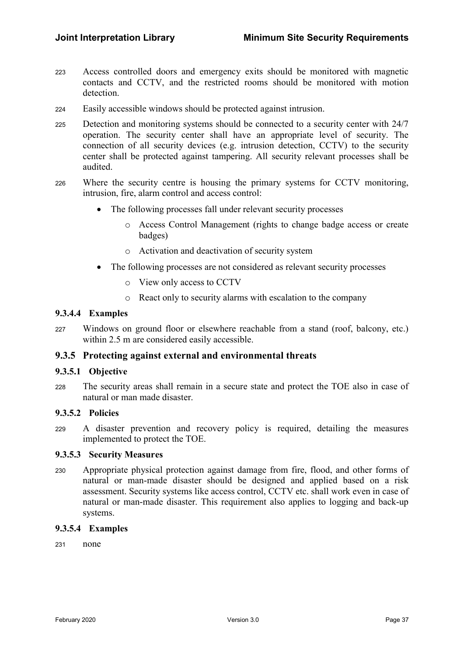- <sup>223</sup>Access controlled doors and emergency exits should be monitored with magnetic contacts and CCTV, and the restricted rooms should be monitored with motion detection.
- <sup>224</sup>Easily accessible windows should be protected against intrusion.
- 225 Detection and monitoring systems should be connected to a security center with 24/7 operation. The security center shall have an appropriate level of security. The connection of all security devices (e.g. intrusion detection, CCTV) to the security center shall be protected against tampering. All security relevant processes shall be audited.
- 226 Where the security centre is housing the primary systems for CCTV monitoring, intrusion, fire, alarm control and access control:
	- The following processes fall under relevant security processes
		- o Access Control Management (rights to change badge access or create badges)
		- o Activation and deactivation of security system
	- The following processes are not considered as relevant security processes
		- o View only access to CCTV
		- o React only to security alarms with escalation to the company

### 9.3.4.4 Examples

<sup>227</sup>Windows on ground floor or elsewhere reachable from a stand (roof, balcony, etc.) within 2.5 m are considered easily accessible.

#### 9.3.5 Protecting against external and environmental threats

#### 9.3.5.1 Objective

228 The security areas shall remain in a secure state and protect the TOE also in case of natural or man made disaster.

#### 9.3.5.2 Policies

<sup>229</sup>A disaster prevention and recovery policy is required, detailing the measures implemented to protect the TOE.

#### 9.3.5.3 Security Measures

<sup>230</sup>Appropriate physical protection against damage from fire, flood, and other forms of natural or man-made disaster should be designed and applied based on a risk assessment. Security systems like access control, CCTV etc. shall work even in case of natural or man-made disaster. This requirement also applies to logging and back-up systems.

#### 9.3.5.4 Examples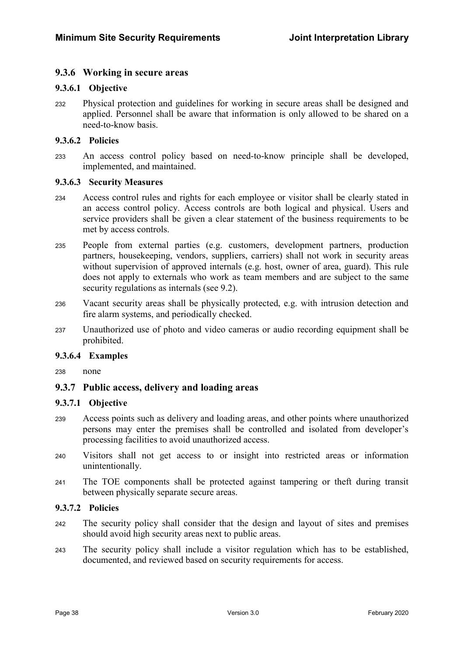### 9.3.6 Working in secure areas

#### 9.3.6.1 Objective

<sup>232</sup>Physical protection and guidelines for working in secure areas shall be designed and applied. Personnel shall be aware that information is only allowed to be shared on a need-to-know basis.

#### 9.3.6.2 Policies

<sup>233</sup>An access control policy based on need-to-know principle shall be developed, implemented, and maintained.

#### 9.3.6.3 Security Measures

- <sup>234</sup>Access control rules and rights for each employee or visitor shall be clearly stated in an access control policy. Access controls are both logical and physical. Users and service providers shall be given a clear statement of the business requirements to be met by access controls.
- 235 People from external parties (e.g. customers, development partners, production partners, housekeeping, vendors, suppliers, carriers) shall not work in security areas without supervision of approved internals (e.g. host, owner of area, guard). This rule does not apply to externals who work as team members and are subject to the same security regulations as internals (see 9.2).
- 236 Vacant security areas shall be physically protected, e.g. with intrusion detection and fire alarm systems, and periodically checked.
- <sup>237</sup>Unauthorized use of photo and video cameras or audio recording equipment shall be prohibited.

#### 9.3.6.4 Examples

238 none

#### 9.3.7 Public access, delivery and loading areas

#### 9.3.7.1 Objective

- 239 Access points such as delivery and loading areas, and other points where unauthorized persons may enter the premises shall be controlled and isolated from developer's processing facilities to avoid unauthorized access.
- <sup>240</sup>Visitors shall not get access to or insight into restricted areas or information unintentionally.
- <sup>241</sup>The TOE components shall be protected against tampering or theft during transit between physically separate secure areas.

#### 9.3.7.2 Policies

- <sup>242</sup>The security policy shall consider that the design and layout of sites and premises should avoid high security areas next to public areas.
- <sup>243</sup>The security policy shall include a visitor regulation which has to be established, documented, and reviewed based on security requirements for access.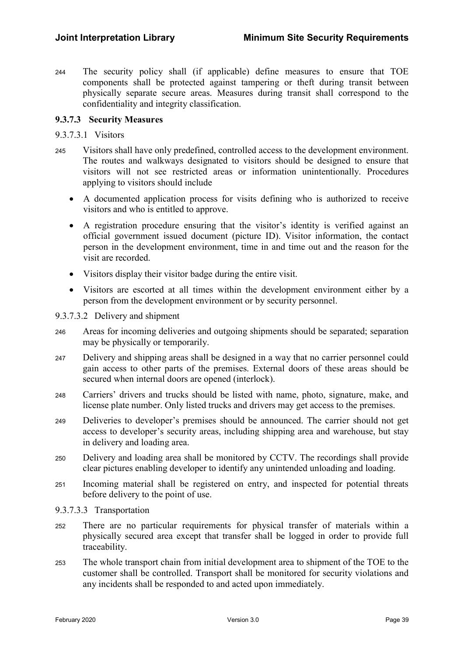<sup>244</sup>The security policy shall (if applicable) define measures to ensure that TOE components shall be protected against tampering or theft during transit between physically separate secure areas. Measures during transit shall correspond to the confidentiality and integrity classification.

### 9.3.7.3 Security Measures

#### 9.3.7.3.1 Visitors

- <sup>245</sup>Visitors shall have only predefined, controlled access to the development environment. The routes and walkways designated to visitors should be designed to ensure that visitors will not see restricted areas or information unintentionally. Procedures applying to visitors should include
	- A documented application process for visits defining who is authorized to receive visitors and who is entitled to approve.
	- A registration procedure ensuring that the visitor's identity is verified against an official government issued document (picture ID). Visitor information, the contact person in the development environment, time in and time out and the reason for the visit are recorded.
	- Visitors display their visitor badge during the entire visit.
	- Visitors are escorted at all times within the development environment either by a person from the development environment or by security personnel.

#### 9.3.7.3.2 Delivery and shipment

- <sup>246</sup>Areas for incoming deliveries and outgoing shipments should be separated; separation may be physically or temporarily.
- <sup>247</sup>Delivery and shipping areas shall be designed in a way that no carrier personnel could gain access to other parts of the premises. External doors of these areas should be secured when internal doors are opened (interlock).
- 248 Carriers' drivers and trucks should be listed with name, photo, signature, make, and license plate number. Only listed trucks and drivers may get access to the premises.
- <sup>249</sup>Deliveries to developer's premises should be announced. The carrier should not get access to developer's security areas, including shipping area and warehouse, but stay in delivery and loading area.
- 250 Delivery and loading area shall be monitored by CCTV. The recordings shall provide clear pictures enabling developer to identify any unintended unloading and loading.
- 251 Incoming material shall be registered on entry, and inspected for potential threats before delivery to the point of use.
- 9.3.7.3.3 Transportation
- <sup>252</sup>There are no particular requirements for physical transfer of materials within a physically secured area except that transfer shall be logged in order to provide full traceability.
- <sup>253</sup>The whole transport chain from initial development area to shipment of the TOE to the customer shall be controlled. Transport shall be monitored for security violations and any incidents shall be responded to and acted upon immediately.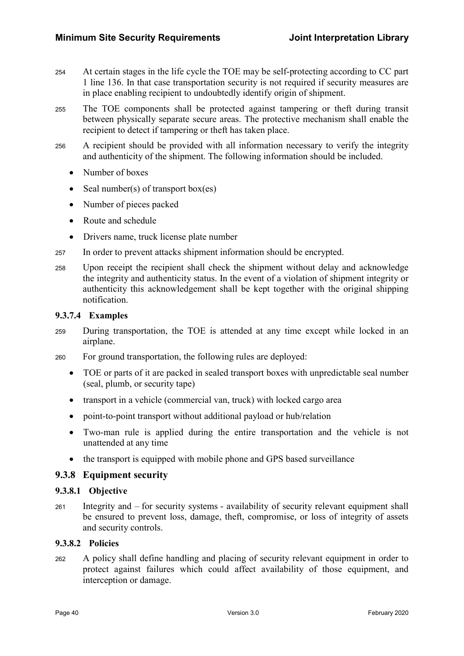- <sup>254</sup>At certain stages in the life cycle the TOE may be self-protecting according to CC part 1 line 136. In that case transportation security is not required if security measures are in place enabling recipient to undoubtedly identify origin of shipment.
- <sup>255</sup>The TOE components shall be protected against tampering or theft during transit between physically separate secure areas. The protective mechanism shall enable the recipient to detect if tampering or theft has taken place.
- <sup>256</sup>A recipient should be provided with all information necessary to verify the integrity and authenticity of the shipment. The following information should be included.
	- Number of boxes
	- Seal number(s) of transport box(es)
	- Number of pieces packed
	- Route and schedule
	- Drivers name, truck license plate number
- 257 In order to prevent attacks shipment information should be encrypted.
- <sup>258</sup>Upon receipt the recipient shall check the shipment without delay and acknowledge the integrity and authenticity status. In the event of a violation of shipment integrity or authenticity this acknowledgement shall be kept together with the original shipping notification.

#### 9.3.7.4 Examples

- <sup>259</sup>During transportation, the TOE is attended at any time except while locked in an airplane.
- 260 For ground transportation, the following rules are deployed:
	- TOE or parts of it are packed in sealed transport boxes with unpredictable seal number (seal, plumb, or security tape)
	- transport in a vehicle (commercial van, truck) with locked cargo area
	- point-to-point transport without additional payload or hub/relation
	- Two-man rule is applied during the entire transportation and the vehicle is not unattended at any time
	- the transport is equipped with mobile phone and GPS based surveillance

### 9.3.8 Equipment security

#### 9.3.8.1 Objective

261 Integrity and – for security systems - availability of security relevant equipment shall be ensured to prevent loss, damage, theft, compromise, or loss of integrity of assets and security controls.

### 9.3.8.2 Policies

<sup>262</sup>A policy shall define handling and placing of security relevant equipment in order to protect against failures which could affect availability of those equipment, and interception or damage.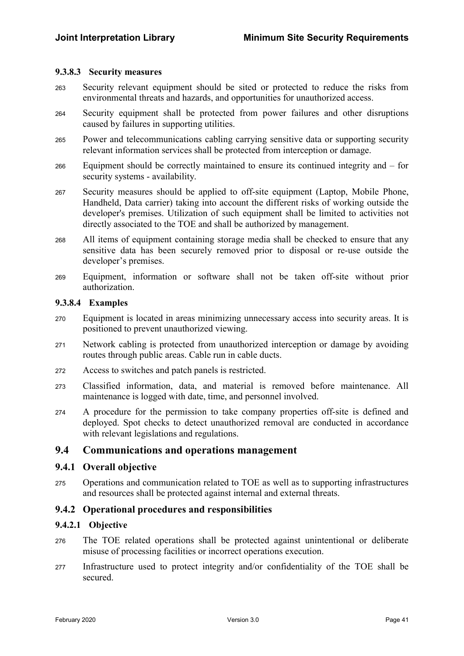#### 9.3.8.3 Security measures

- <sup>263</sup>Security relevant equipment should be sited or protected to reduce the risks from environmental threats and hazards, and opportunities for unauthorized access.
- <sup>264</sup>Security equipment shall be protected from power failures and other disruptions caused by failures in supporting utilities.
- <sup>265</sup>Power and telecommunications cabling carrying sensitive data or supporting security relevant information services shall be protected from interception or damage.
- $266$  Equipment should be correctly maintained to ensure its continued integrity and for security systems - availability.
- 267 Security measures should be applied to off-site equipment (Laptop, Mobile Phone, Handheld, Data carrier) taking into account the different risks of working outside the developer's premises. Utilization of such equipment shall be limited to activities not directly associated to the TOE and shall be authorized by management.
- <sup>268</sup>All items of equipment containing storage media shall be checked to ensure that any sensitive data has been securely removed prior to disposal or re-use outside the developer's premises.
- <sup>269</sup>Equipment, information or software shall not be taken off-site without prior authorization.

#### 9.3.8.4 Examples

- <sup>270</sup>Equipment is located in areas minimizing unnecessary access into security areas. It is positioned to prevent unauthorized viewing.
- 271 Network cabling is protected from unauthorized interception or damage by avoiding routes through public areas. Cable run in cable ducts.
- <sup>272</sup>Access to switches and patch panels is restricted.
- <sup>273</sup>Classified information, data, and material is removed before maintenance. All maintenance is logged with date, time, and personnel involved.
- <sup>274</sup>A procedure for the permission to take company properties off-site is defined and deployed. Spot checks to detect unauthorized removal are conducted in accordance with relevant legislations and regulations.

### 9.4 Communications and operations management

#### 9.4.1 Overall objective

275 Operations and communication related to TOE as well as to supporting infrastructures and resources shall be protected against internal and external threats.

#### 9.4.2 Operational procedures and responsibilities

#### 9.4.2.1 Objective

- <sup>276</sup>The TOE related operations shall be protected against unintentional or deliberate misuse of processing facilities or incorrect operations execution.
- <sup>277</sup>Infrastructure used to protect integrity and/or confidentiality of the TOE shall be secured.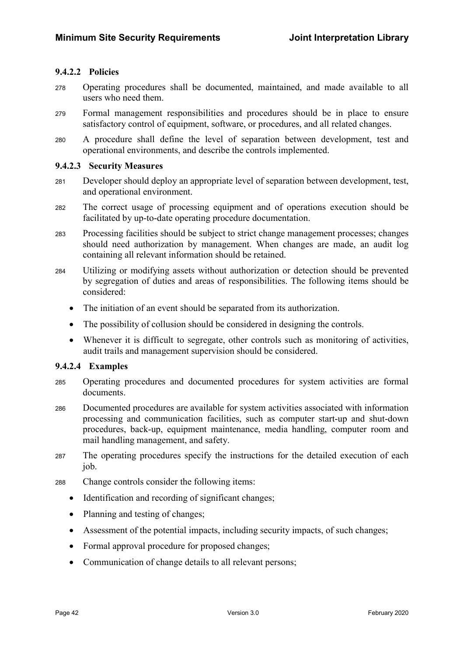### 9.4.2.2 Policies

- <sup>278</sup>Operating procedures shall be documented, maintained, and made available to all users who need them.
- <sup>279</sup>Formal management responsibilities and procedures should be in place to ensure satisfactory control of equipment, software, or procedures, and all related changes.
- <sup>280</sup>A procedure shall define the level of separation between development, test and operational environments, and describe the controls implemented.

#### 9.4.2.3 Security Measures

- <sup>281</sup>Developer should deploy an appropriate level of separation between development, test, and operational environment.
- <sup>282</sup>The correct usage of processing equipment and of operations execution should be facilitated by up-to-date operating procedure documentation.
- <sup>283</sup>Processing facilities should be subject to strict change management processes; changes should need authorization by management. When changes are made, an audit log containing all relevant information should be retained.
- <sup>284</sup>Utilizing or modifying assets without authorization or detection should be prevented by segregation of duties and areas of responsibilities. The following items should be considered:
	- The initiation of an event should be separated from its authorization.
	- The possibility of collusion should be considered in designing the controls.
	- Whenever it is difficult to segregate, other controls such as monitoring of activities, audit trails and management supervision should be considered.

#### 9.4.2.4 Examples

- <sup>285</sup>Operating procedures and documented procedures for system activities are formal documents.
- <sup>286</sup>Documented procedures are available for system activities associated with information processing and communication facilities, such as computer start-up and shut-down procedures, back-up, equipment maintenance, media handling, computer room and mail handling management, and safety.
- 287 The operating procedures specify the instructions for the detailed execution of each job.
- <sup>288</sup>Change controls consider the following items:
	- Identification and recording of significant changes;
	- Planning and testing of changes;
	- Assessment of the potential impacts, including security impacts, of such changes;
	- Formal approval procedure for proposed changes;
	- Communication of change details to all relevant persons;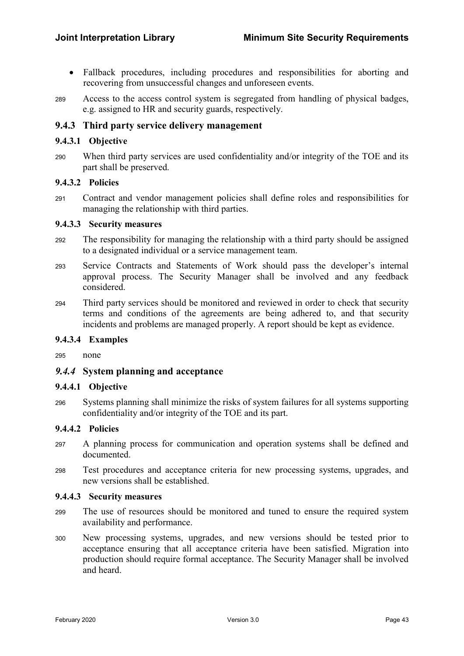- Fallback procedures, including procedures and responsibilities for aborting and recovering from unsuccessful changes and unforeseen events.
- 289 Access to the access control system is segregated from handling of physical badges, e.g. assigned to HR and security guards, respectively.

### 9.4.3 Third party service delivery management

#### 9.4.3.1 Objective

<sup>290</sup>When third party services are used confidentiality and/or integrity of the TOE and its part shall be preserved.

#### 9.4.3.2 Policies

<sup>291</sup>Contract and vendor management policies shall define roles and responsibilities for managing the relationship with third parties.

#### 9.4.3.3 Security measures

- <sup>292</sup>The responsibility for managing the relationship with a third party should be assigned to a designated individual or a service management team.
- 293 Service Contracts and Statements of Work should pass the developer's internal approval process. The Security Manager shall be involved and any feedback considered.
- <sup>294</sup>Third party services should be monitored and reviewed in order to check that security terms and conditions of the agreements are being adhered to, and that security incidents and problems are managed properly. A report should be kept as evidence.

#### 9.4.3.4 Examples

295 none

#### 9.4.4 System planning and acceptance

#### 9.4.4.1 Objective

<sup>296</sup>Systems planning shall minimize the risks of system failures for all systems supporting confidentiality and/or integrity of the TOE and its part.

#### 9.4.4.2 Policies

- <sup>297</sup>A planning process for communication and operation systems shall be defined and documented.
- <sup>298</sup>Test procedures and acceptance criteria for new processing systems, upgrades, and new versions shall be established.

#### 9.4.4.3 Security measures

- <sup>299</sup>The use of resources should be monitored and tuned to ensure the required system availability and performance.
- <sup>300</sup>New processing systems, upgrades, and new versions should be tested prior to acceptance ensuring that all acceptance criteria have been satisfied. Migration into production should require formal acceptance. The Security Manager shall be involved and heard.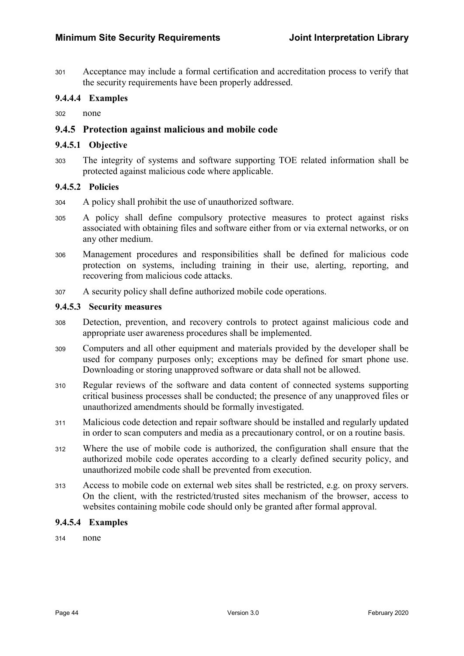<sup>301</sup>Acceptance may include a formal certification and accreditation process to verify that the security requirements have been properly addressed.

#### 9.4.4.4 Examples

302 none

#### 9.4.5 Protection against malicious and mobile code

#### 9.4.5.1 Objective

<sup>303</sup>The integrity of systems and software supporting TOE related information shall be protected against malicious code where applicable.

#### 9.4.5.2 Policies

- <sup>304</sup>A policy shall prohibit the use of unauthorized software.
- <sup>305</sup>A policy shall define compulsory protective measures to protect against risks associated with obtaining files and software either from or via external networks, or on any other medium.
- <sup>306</sup>Management procedures and responsibilities shall be defined for malicious code protection on systems, including training in their use, alerting, reporting, and recovering from malicious code attacks.
- <sup>307</sup>A security policy shall define authorized mobile code operations.

#### 9.4.5.3 Security measures

- <sup>308</sup>Detection, prevention, and recovery controls to protect against malicious code and appropriate user awareness procedures shall be implemented.
- <sup>309</sup>Computers and all other equipment and materials provided by the developer shall be used for company purposes only; exceptions may be defined for smart phone use. Downloading or storing unapproved software or data shall not be allowed.
- <sup>310</sup>Regular reviews of the software and data content of connected systems supporting critical business processes shall be conducted; the presence of any unapproved files or unauthorized amendments should be formally investigated.
- <sup>311</sup>Malicious code detection and repair software should be installed and regularly updated in order to scan computers and media as a precautionary control, or on a routine basis.
- <sup>312</sup>Where the use of mobile code is authorized, the configuration shall ensure that the authorized mobile code operates according to a clearly defined security policy, and unauthorized mobile code shall be prevented from execution.
- <sup>313</sup>Access to mobile code on external web sites shall be restricted, e.g. on proxy servers. On the client, with the restricted/trusted sites mechanism of the browser, access to websites containing mobile code should only be granted after formal approval.

#### 9.4.5.4 Examples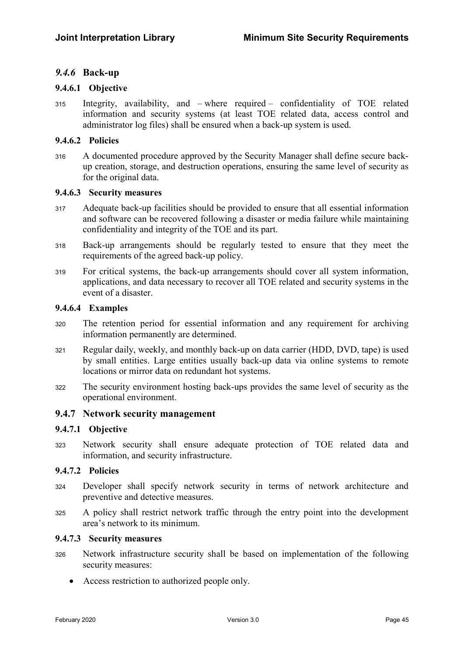### 9.4.6 Back-up

#### 9.4.6.1 Objective

 $315$  Integrity, availability, and – where required – confidentiality of TOE related information and security systems (at least TOE related data, access control and administrator log files) shall be ensured when a back-up system is used.

#### 9.4.6.2 Policies

316 A documented procedure approved by the Security Manager shall define secure backup creation, storage, and destruction operations, ensuring the same level of security as for the original data.

#### 9.4.6.3 Security measures

- <sup>317</sup>Adequate back-up facilities should be provided to ensure that all essential information and software can be recovered following a disaster or media failure while maintaining confidentiality and integrity of the TOE and its part.
- <sup>318</sup>Back-up arrangements should be regularly tested to ensure that they meet the requirements of the agreed back-up policy.
- <sup>319</sup>For critical systems, the back-up arrangements should cover all system information, applications, and data necessary to recover all TOE related and security systems in the event of a disaster.

#### 9.4.6.4 Examples

- <sup>320</sup>The retention period for essential information and any requirement for archiving information permanently are determined.
- <sup>321</sup>Regular daily, weekly, and monthly back-up on data carrier (HDD, DVD, tape) is used by small entities. Large entities usually back-up data via online systems to remote locations or mirror data on redundant hot systems.
- <sup>322</sup>The security environment hosting back-ups provides the same level of security as the operational environment.

#### 9.4.7 Network security management

#### 9.4.7.1 Objective

323 Network security shall ensure adequate protection of TOE related data and information, and security infrastructure.

#### 9.4.7.2 Policies

- <sup>324</sup>Developer shall specify network security in terms of network architecture and preventive and detective measures.
- <sup>325</sup>A policy shall restrict network traffic through the entry point into the development area's network to its minimum.

#### 9.4.7.3 Security measures

- 326 Network infrastructure security shall be based on implementation of the following security measures:
	- Access restriction to authorized people only.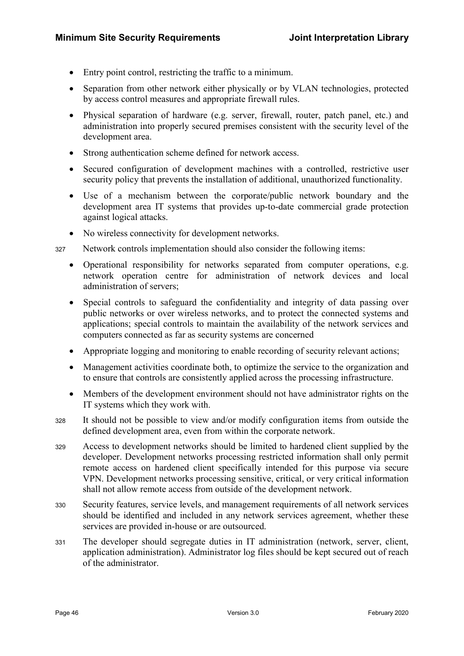- Entry point control, restricting the traffic to a minimum.
- Separation from other network either physically or by VLAN technologies, protected by access control measures and appropriate firewall rules.
- Physical separation of hardware (e.g. server, firewall, router, patch panel, etc.) and administration into properly secured premises consistent with the security level of the development area.
- Strong authentication scheme defined for network access.
- Secured configuration of development machines with a controlled, restrictive user security policy that prevents the installation of additional, unauthorized functionality.
- Use of a mechanism between the corporate/public network boundary and the development area IT systems that provides up-to-date commercial grade protection against logical attacks.
- No wireless connectivity for development networks.

327 Network controls implementation should also consider the following items:

- Operational responsibility for networks separated from computer operations, e.g. network operation centre for administration of network devices and local administration of servers;
- Special controls to safeguard the confidentiality and integrity of data passing over public networks or over wireless networks, and to protect the connected systems and applications; special controls to maintain the availability of the network services and computers connected as far as security systems are concerned
- Appropriate logging and monitoring to enable recording of security relevant actions;
- Management activities coordinate both, to optimize the service to the organization and to ensure that controls are consistently applied across the processing infrastructure.
- Members of the development environment should not have administrator rights on the IT systems which they work with.
- 328 It should not be possible to view and/or modify configuration items from outside the defined development area, even from within the corporate network.
- <sup>329</sup>Access to development networks should be limited to hardened client supplied by the developer. Development networks processing restricted information shall only permit remote access on hardened client specifically intended for this purpose via secure VPN. Development networks processing sensitive, critical, or very critical information shall not allow remote access from outside of the development network.
- <sup>330</sup>Security features, service levels, and management requirements of all network services should be identified and included in any network services agreement, whether these services are provided in-house or are outsourced.
- <sup>331</sup>The developer should segregate duties in IT administration (network, server, client, application administration). Administrator log files should be kept secured out of reach of the administrator.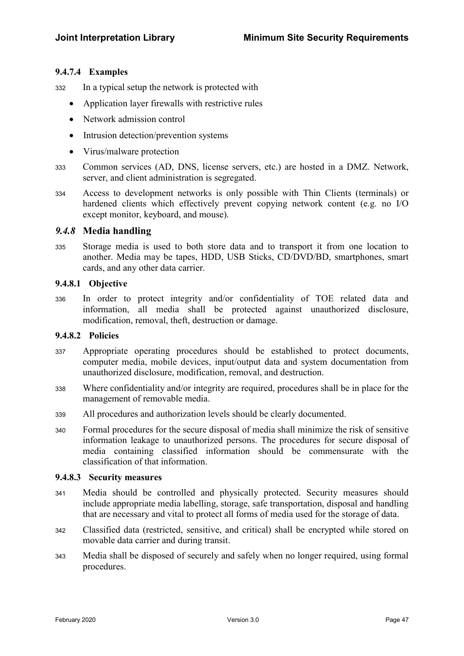#### 9.4.7.4 Examples

332 In a typical setup the network is protected with

- Application layer firewalls with restrictive rules
- Network admission control
- Intrusion detection/prevention systems
- Virus/malware protection
- <sup>333</sup>Common services (AD, DNS, license servers, etc.) are hosted in a DMZ. Network, server, and client administration is segregated.
- <sup>334</sup>Access to development networks is only possible with Thin Clients (terminals) or hardened clients which effectively prevent copying network content (e.g. no I/O except monitor, keyboard, and mouse).

#### 9.4.8 Media handling

<sup>335</sup>Storage media is used to both store data and to transport it from one location to another. Media may be tapes, HDD, USB Sticks, CD/DVD/BD, smartphones, smart cards, and any other data carrier.

#### 9.4.8.1 Objective

<sup>336</sup>In order to protect integrity and/or confidentiality of TOE related data and information, all media shall be protected against unauthorized disclosure, modification, removal, theft, destruction or damage.

#### 9.4.8.2 Policies

- <sup>337</sup>Appropriate operating procedures should be established to protect documents, computer media, mobile devices, input/output data and system documentation from unauthorized disclosure, modification, removal, and destruction.
- <sup>338</sup>Where confidentiality and/or integrity are required, procedures shall be in place for the management of removable media.
- <sup>339</sup>All procedures and authorization levels should be clearly documented.
- 340 Formal procedures for the secure disposal of media shall minimize the risk of sensitive information leakage to unauthorized persons. The procedures for secure disposal of media containing classified information should be commensurate with the classification of that information.

#### 9.4.8.3 Security measures

- <sup>341</sup>Media should be controlled and physically protected. Security measures should include appropriate media labelling, storage, safe transportation, disposal and handling that are necessary and vital to protect all forms of media used for the storage of data.
- <sup>342</sup>Classified data (restricted, sensitive, and critical) shall be encrypted while stored on movable data carrier and during transit.
- <sup>343</sup>Media shall be disposed of securely and safely when no longer required, using formal procedures.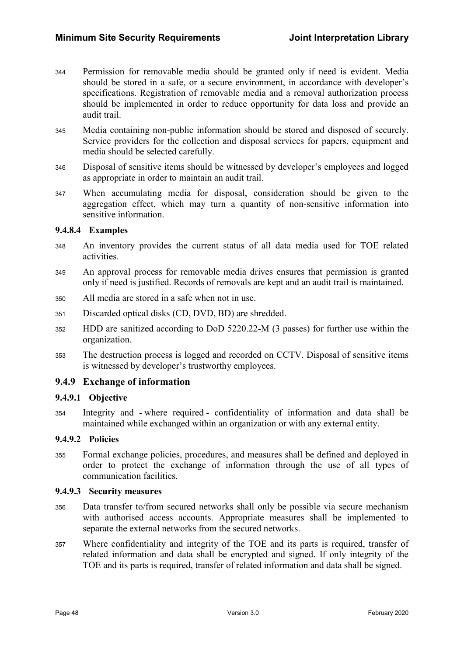- <sup>344</sup>Permission for removable media should be granted only if need is evident. Media should be stored in a safe, or a secure environment, in accordance with developer's specifications. Registration of removable media and a removal authorization process should be implemented in order to reduce opportunity for data loss and provide an audit trail.
- <sup>345</sup>Media containing non-public information should be stored and disposed of securely. Service providers for the collection and disposal services for papers, equipment and media should be selected carefully.
- <sup>346</sup>Disposal of sensitive items should be witnessed by developer's employees and logged as appropriate in order to maintain an audit trail.
- <sup>347</sup>When accumulating media for disposal, consideration should be given to the aggregation effect, which may turn a quantity of non-sensitive information into sensitive information.

#### 9.4.8.4 Examples

- <sup>348</sup>An inventory provides the current status of all data media used for TOE related activities.
- <sup>349</sup>An approval process for removable media drives ensures that permission is granted only if need is justified. Records of removals are kept and an audit trail is maintained.
- <sup>350</sup>All media are stored in a safe when not in use.
- 351 Discarded optical disks (CD, DVD, BD) are shredded.
- <sup>352</sup>HDD are sanitized according to DoD 5220.22-M (3 passes) for further use within the organization.
- 353 The destruction process is logged and recorded on CCTV. Disposal of sensitive items is witnessed by developer's trustworthy employees.

### 9.4.9 Exchange of information

#### 9.4.9.1 Objective

<sup>354</sup>Integrity and - where required - confidentiality of information and data shall be maintained while exchanged within an organization or with any external entity.

#### 9.4.9.2 Policies

<sup>355</sup>Formal exchange policies, procedures, and measures shall be defined and deployed in order to protect the exchange of information through the use of all types of communication facilities.

#### 9.4.9.3 Security measures

- 356 Data transfer to/from secured networks shall only be possible via secure mechanism with authorised access accounts. Appropriate measures shall be implemented to separate the external networks from the secured networks.
- <sup>357</sup>Where confidentiality and integrity of the TOE and its parts is required, transfer of related information and data shall be encrypted and signed. If only integrity of the TOE and its parts is required, transfer of related information and data shall be signed.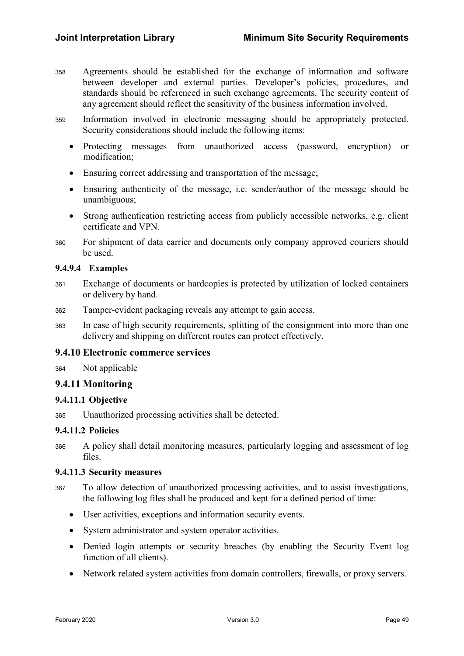- <sup>358</sup>Agreements should be established for the exchange of information and software between developer and external parties. Developer's policies, procedures, and standards should be referenced in such exchange agreements. The security content of any agreement should reflect the sensitivity of the business information involved.
- 359 Information involved in electronic messaging should be appropriately protected. Security considerations should include the following items:
	- Protecting messages from unauthorized access (password, encryption) or modification;
	- Ensuring correct addressing and transportation of the message;
	- Ensuring authenticity of the message, i.e. sender/author of the message should be unambiguous;
	- Strong authentication restricting access from publicly accessible networks, e.g. client certificate and VPN.
- <sup>360</sup>For shipment of data carrier and documents only company approved couriers should be used.

#### 9.4.9.4 Examples

- <sup>361</sup>Exchange of documents or hardcopies is protected by utilization of locked containers or delivery by hand.
- 362 Tamper-evident packaging reveals any attempt to gain access.
- <sup>363</sup>In case of high security requirements, splitting of the consignment into more than one delivery and shipping on different routes can protect effectively.

#### 9.4.10 Electronic commerce services

364 Not applicable

### 9.4.11 Monitoring

#### 9.4.11.1 Objective

<sup>365</sup>Unauthorized processing activities shall be detected.

#### 9.4.11.2 Policies

<sup>366</sup>A policy shall detail monitoring measures, particularly logging and assessment of log files.

#### 9.4.11.3 Security measures

- <sup>367</sup>To allow detection of unauthorized processing activities, and to assist investigations, the following log files shall be produced and kept for a defined period of time:
	- User activities, exceptions and information security events.
	- System administrator and system operator activities.
	- Denied login attempts or security breaches (by enabling the Security Event log function of all clients).
	- Network related system activities from domain controllers, firewalls, or proxy servers.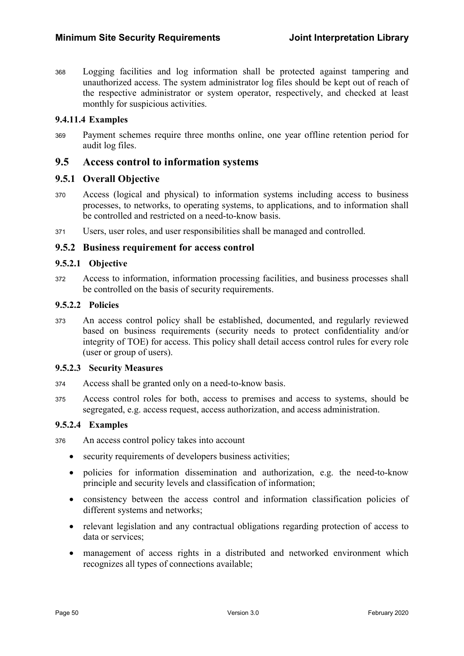<sup>368</sup>Logging facilities and log information shall be protected against tampering and unauthorized access. The system administrator log files should be kept out of reach of the respective administrator or system operator, respectively, and checked at least monthly for suspicious activities.

#### 9.4.11.4 Examples

<sup>369</sup>Payment schemes require three months online, one year offline retention period for audit log files.

### 9.5 Access control to information systems

### 9.5.1 Overall Objective

- <sup>370</sup>Access (logical and physical) to information systems including access to business processes, to networks, to operating systems, to applications, and to information shall be controlled and restricted on a need-to-know basis.
- <sup>371</sup>Users, user roles, and user responsibilities shall be managed and controlled.

#### 9.5.2 Business requirement for access control

#### 9.5.2.1 Objective

<sup>372</sup>Access to information, information processing facilities, and business processes shall be controlled on the basis of security requirements.

#### 9.5.2.2 Policies

<sup>373</sup>An access control policy shall be established, documented, and regularly reviewed based on business requirements (security needs to protect confidentiality and/or integrity of TOE) for access. This policy shall detail access control rules for every role (user or group of users).

#### 9.5.2.3 Security Measures

- 374 Access shall be granted only on a need-to-know basis.
- <sup>375</sup>Access control roles for both, access to premises and access to systems, should be segregated, e.g. access request, access authorization, and access administration.

#### 9.5.2.4 Examples

<sup>376</sup>An access control policy takes into account

- security requirements of developers business activities;
- policies for information dissemination and authorization, e.g. the need-to-know principle and security levels and classification of information;
- consistency between the access control and information classification policies of different systems and networks;
- relevant legislation and any contractual obligations regarding protection of access to data or services;
- management of access rights in a distributed and networked environment which recognizes all types of connections available;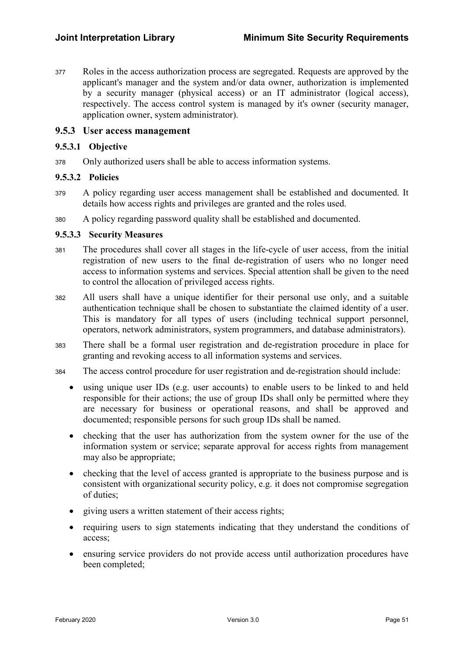<sup>377</sup>Roles in the access authorization process are segregated. Requests are approved by the applicant's manager and the system and/or data owner, authorization is implemented by a security manager (physical access) or an IT administrator (logical access), respectively. The access control system is managed by it's owner (security manager, application owner, system administrator).

#### 9.5.3 User access management

#### 9.5.3.1 Objective

378 Only authorized users shall be able to access information systems.

#### 9.5.3.2 Policies

- <sup>379</sup>A policy regarding user access management shall be established and documented. It details how access rights and privileges are granted and the roles used.
- <sup>380</sup>A policy regarding password quality shall be established and documented.

#### 9.5.3.3 Security Measures

- 381 The procedures shall cover all stages in the life-cycle of user access, from the initial registration of new users to the final de-registration of users who no longer need access to information systems and services. Special attention shall be given to the need to control the allocation of privileged access rights.
- <sup>382</sup>All users shall have a unique identifier for their personal use only, and a suitable authentication technique shall be chosen to substantiate the claimed identity of a user. This is mandatory for all types of users (including technical support personnel, operators, network administrators, system programmers, and database administrators).
- <sup>383</sup>There shall be a formal user registration and de-registration procedure in place for granting and revoking access to all information systems and services.
- <sup>384</sup>The access control procedure for user registration and de-registration should include:
	- using unique user IDs (e.g. user accounts) to enable users to be linked to and held responsible for their actions; the use of group IDs shall only be permitted where they are necessary for business or operational reasons, and shall be approved and documented; responsible persons for such group IDs shall be named.
	- checking that the user has authorization from the system owner for the use of the information system or service; separate approval for access rights from management may also be appropriate;
	- checking that the level of access granted is appropriate to the business purpose and is consistent with organizational security policy, e.g. it does not compromise segregation of duties;
	- giving users a written statement of their access rights;
	- requiring users to sign statements indicating that they understand the conditions of access;
	- ensuring service providers do not provide access until authorization procedures have been completed;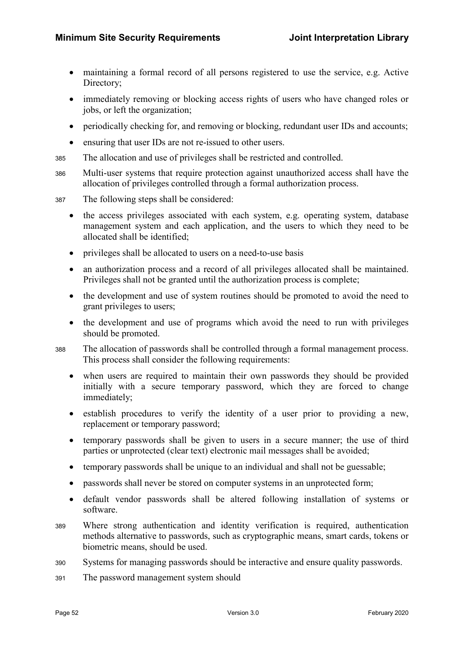- maintaining a formal record of all persons registered to use the service, e.g. Active Directory;
- immediately removing or blocking access rights of users who have changed roles or jobs, or left the organization;
- periodically checking for, and removing or blocking, redundant user IDs and accounts;
- ensuring that user IDs are not re-issued to other users.
- 385 The allocation and use of privileges shall be restricted and controlled.
- <sup>386</sup>Multi-user systems that require protection against unauthorized access shall have the allocation of privileges controlled through a formal authorization process.
- 387 The following steps shall be considered:
	- the access privileges associated with each system, e.g. operating system, database management system and each application, and the users to which they need to be allocated shall be identified;
	- privileges shall be allocated to users on a need-to-use basis
	- an authorization process and a record of all privileges allocated shall be maintained. Privileges shall not be granted until the authorization process is complete;
	- the development and use of system routines should be promoted to avoid the need to grant privileges to users;
	- the development and use of programs which avoid the need to run with privileges should be promoted.
- 388 The allocation of passwords shall be controlled through a formal management process. This process shall consider the following requirements:
	- when users are required to maintain their own passwords they should be provided initially with a secure temporary password, which they are forced to change immediately;
	- establish procedures to verify the identity of a user prior to providing a new, replacement or temporary password;
	- temporary passwords shall be given to users in a secure manner; the use of third parties or unprotected (clear text) electronic mail messages shall be avoided;
	- temporary passwords shall be unique to an individual and shall not be guessable;
	- passwords shall never be stored on computer systems in an unprotected form;
	- default vendor passwords shall be altered following installation of systems or software.
- <sup>389</sup>Where strong authentication and identity verification is required, authentication methods alternative to passwords, such as cryptographic means, smart cards, tokens or biometric means, should be used.
- 390 Systems for managing passwords should be interactive and ensure quality passwords.
- 391 The password management system should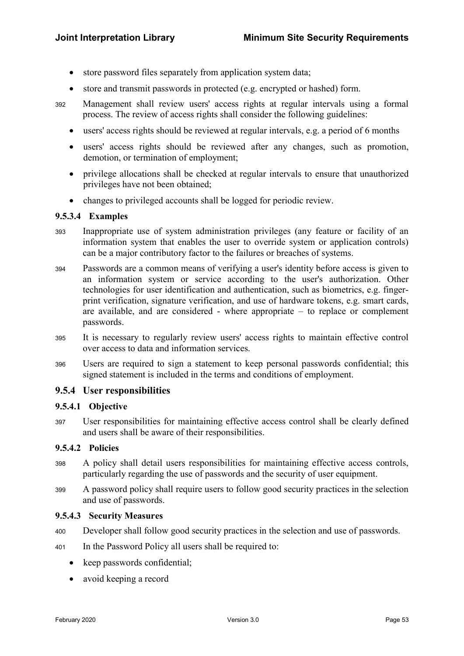- store password files separately from application system data;
- store and transmit passwords in protected (e.g. encrypted or hashed) form.
- <sup>392</sup>Management shall review users' access rights at regular intervals using a formal process. The review of access rights shall consider the following guidelines:
	- users' access rights should be reviewed at regular intervals, e.g. a period of 6 months
	- users' access rights should be reviewed after any changes, such as promotion, demotion, or termination of employment;
	- privilege allocations shall be checked at regular intervals to ensure that unauthorized privileges have not been obtained;
	- changes to privileged accounts shall be logged for periodic review.

#### 9.5.3.4 Examples

- <sup>393</sup>Inappropriate use of system administration privileges (any feature or facility of an information system that enables the user to override system or application controls) can be a major contributory factor to the failures or breaches of systems.
- <sup>394</sup>Passwords are a common means of verifying a user's identity before access is given to an information system or service according to the user's authorization. Other technologies for user identification and authentication, such as biometrics, e.g. fingerprint verification, signature verification, and use of hardware tokens, e.g. smart cards, are available, and are considered - where appropriate – to replace or complement passwords.
- <sup>395</sup>It is necessary to regularly review users' access rights to maintain effective control over access to data and information services.
- <sup>396</sup>Users are required to sign a statement to keep personal passwords confidential; this signed statement is included in the terms and conditions of employment.

### 9.5.4 User responsibilities

#### 9.5.4.1 Objective

<sup>397</sup>User responsibilities for maintaining effective access control shall be clearly defined and users shall be aware of their responsibilities.

#### 9.5.4.2 Policies

- <sup>398</sup>A policy shall detail users responsibilities for maintaining effective access controls, particularly regarding the use of passwords and the security of user equipment.
- <sup>399</sup>A password policy shall require users to follow good security practices in the selection and use of passwords.

#### 9.5.4.3 Security Measures

- 400 Developer shall follow good security practices in the selection and use of passwords.
- 401 In the Password Policy all users shall be required to:
	- keep passwords confidential;
	- avoid keeping a record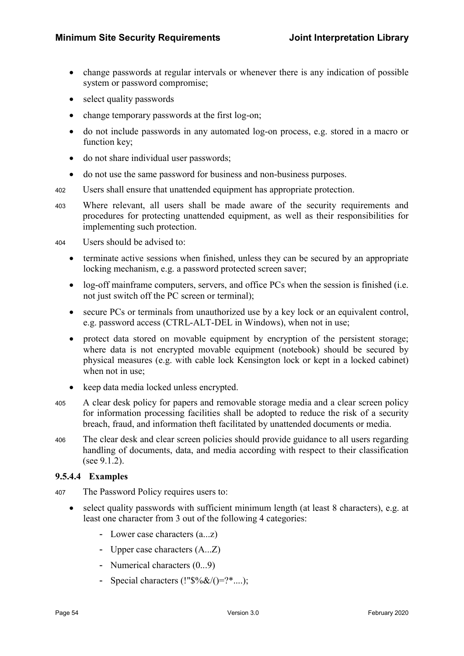- change passwords at regular intervals or whenever there is any indication of possible system or password compromise;
- select quality passwords
- change temporary passwords at the first log-on;
- do not include passwords in any automated log-on process, e.g. stored in a macro or function key;
- do not share individual user passwords;
- do not use the same password for business and non-business purposes.
- <sup>402</sup>Users shall ensure that unattended equipment has appropriate protection.
- <sup>403</sup>Where relevant, all users shall be made aware of the security requirements and procedures for protecting unattended equipment, as well as their responsibilities for implementing such protection.

<sup>404</sup>Users should be advised to:

- terminate active sessions when finished, unless they can be secured by an appropriate locking mechanism, e.g. a password protected screen saver;
- log-off mainframe computers, servers, and office PCs when the session is finished (i.e. not just switch off the PC screen or terminal);
- secure PCs or terminals from unauthorized use by a key lock or an equivalent control, e.g. password access (CTRL-ALT-DEL in Windows), when not in use;
- protect data stored on movable equipment by encryption of the persistent storage; where data is not encrypted movable equipment (notebook) should be secured by physical measures (e.g. with cable lock Kensington lock or kept in a locked cabinet) when not in use;
- keep data media locked unless encrypted.
- <sup>405</sup>A clear desk policy for papers and removable storage media and a clear screen policy for information processing facilities shall be adopted to reduce the risk of a security breach, fraud, and information theft facilitated by unattended documents or media.
- <sup>406</sup>The clear desk and clear screen policies should provide guidance to all users regarding handling of documents, data, and media according with respect to their classification (see 9.1.2).

#### 9.5.4.4 Examples

- <sup>407</sup>The Password Policy requires users to:
	- select quality passwords with sufficient minimum length (at least 8 characters), e.g. at least one character from 3 out of the following 4 categories:
		- Lower case characters (a...z)
		- Upper case characters (A...Z)
		- Numerical characters  $(0...9)$
		- Special characters  $(!"\$%\&\&\()=?^*....);$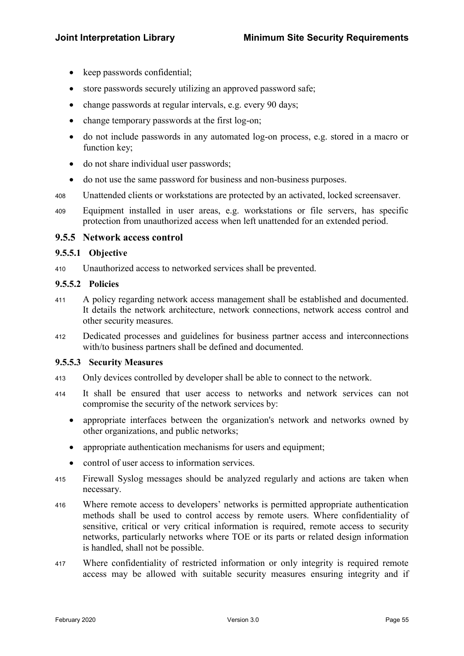- keep passwords confidential;
- store passwords securely utilizing an approved password safe;
- change passwords at regular intervals, e.g. every 90 days;
- change temporary passwords at the first log-on;
- do not include passwords in any automated log-on process, e.g. stored in a macro or function key;
- do not share individual user passwords;
- do not use the same password for business and non-business purposes.
- <sup>408</sup>Unattended clients or workstations are protected by an activated, locked screensaver.
- <sup>409</sup>Equipment installed in user areas, e.g. workstations or file servers, has specific protection from unauthorized access when left unattended for an extended period.

#### 9.5.5 Network access control

#### 9.5.5.1 Objective

410 Unauthorized access to networked services shall be prevented.

#### 9.5.5.2 Policies

- <sup>411</sup>A policy regarding network access management shall be established and documented. It details the network architecture, network connections, network access control and other security measures.
- 412 Dedicated processes and guidelines for business partner access and interconnections with/to business partners shall be defined and documented.

#### 9.5.5.3 Security Measures

- 413 Only devices controlled by developer shall be able to connect to the network.
- <sup>414</sup>It shall be ensured that user access to networks and network services can not compromise the security of the network services by:
	- appropriate interfaces between the organization's network and networks owned by other organizations, and public networks;
	- appropriate authentication mechanisms for users and equipment;
	- control of user access to information services.
- <sup>415</sup>Firewall Syslog messages should be analyzed regularly and actions are taken when necessary.
- 416 Where remote access to developers' networks is permitted appropriate authentication methods shall be used to control access by remote users. Where confidentiality of sensitive, critical or very critical information is required, remote access to security networks, particularly networks where TOE or its parts or related design information is handled, shall not be possible.
- 417 Where confidentiality of restricted information or only integrity is required remote access may be allowed with suitable security measures ensuring integrity and if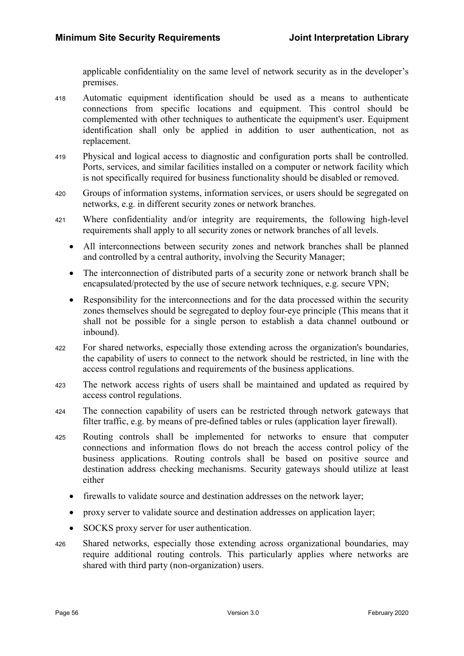applicable confidentiality on the same level of network security as in the developer's premises.

- <sup>418</sup>Automatic equipment identification should be used as a means to authenticate connections from specific locations and equipment. This control should be complemented with other techniques to authenticate the equipment's user. Equipment identification shall only be applied in addition to user authentication, not as replacement.
- 419 Physical and logical access to diagnostic and configuration ports shall be controlled. Ports, services, and similar facilities installed on a computer or network facility which is not specifically required for business functionality should be disabled or removed.
- 420 Groups of information systems, information services, or users should be segregated on networks, e.g. in different security zones or network branches.
- <sup>421</sup>Where confidentiality and/or integrity are requirements, the following high-level requirements shall apply to all security zones or network branches of all levels.
	- All interconnections between security zones and network branches shall be planned and controlled by a central authority, involving the Security Manager;
	- The interconnection of distributed parts of a security zone or network branch shall be encapsulated/protected by the use of secure network techniques, e.g. secure VPN;
	- Responsibility for the interconnections and for the data processed within the security zones themselves should be segregated to deploy four-eye principle (This means that it shall not be possible for a single person to establish a data channel outbound or inbound).
- <sup>422</sup>For shared networks, especially those extending across the organization's boundaries, the capability of users to connect to the network should be restricted, in line with the access control regulations and requirements of the business applications.
- <sup>423</sup>The network access rights of users shall be maintained and updated as required by access control regulations.
- <sup>424</sup>The connection capability of users can be restricted through network gateways that filter traffic, e.g. by means of pre-defined tables or rules (application layer firewall).
- 425 Routing controls shall be implemented for networks to ensure that computer connections and information flows do not breach the access control policy of the business applications. Routing controls shall be based on positive source and destination address checking mechanisms. Security gateways should utilize at least either
	- firewalls to validate source and destination addresses on the network layer;
	- proxy server to validate source and destination addresses on application layer;
	- SOCKS proxy server for user authentication.
- 426 Shared networks, especially those extending across organizational boundaries, may require additional routing controls. This particularly applies where networks are shared with third party (non-organization) users.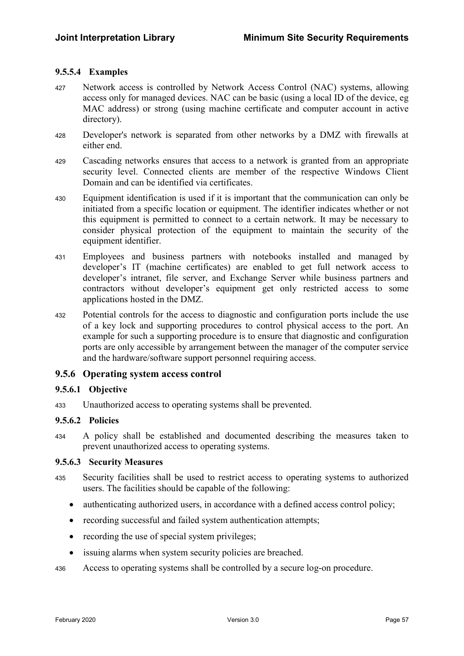#### 9.5.5.4 Examples

- 427 Network access is controlled by Network Access Control (NAC) systems, allowing access only for managed devices. NAC can be basic (using a local ID of the device, eg MAC address) or strong (using machine certificate and computer account in active directory).
- 428 Developer's network is separated from other networks by a DMZ with firewalls at either end.
- <sup>429</sup>Cascading networks ensures that access to a network is granted from an appropriate security level. Connected clients are member of the respective Windows Client Domain and can be identified via certificates.
- <sup>430</sup>Equipment identification is used if it is important that the communication can only be initiated from a specific location or equipment. The identifier indicates whether or not this equipment is permitted to connect to a certain network. It may be necessary to consider physical protection of the equipment to maintain the security of the equipment identifier.
- <sup>431</sup>Employees and business partners with notebooks installed and managed by developer's IT (machine certificates) are enabled to get full network access to developer's intranet, file server, and Exchange Server while business partners and contractors without developer's equipment get only restricted access to some applications hosted in the DMZ.
- <sup>432</sup>Potential controls for the access to diagnostic and configuration ports include the use of a key lock and supporting procedures to control physical access to the port. An example for such a supporting procedure is to ensure that diagnostic and configuration ports are only accessible by arrangement between the manager of the computer service and the hardware/software support personnel requiring access.

### 9.5.6 Operating system access control

#### 9.5.6.1 Objective

433 Unauthorized access to operating systems shall be prevented.

#### 9.5.6.2 Policies

<sup>434</sup>A policy shall be established and documented describing the measures taken to prevent unauthorized access to operating systems.

#### 9.5.6.3 Security Measures

- <sup>435</sup>Security facilities shall be used to restrict access to operating systems to authorized users. The facilities should be capable of the following:
	- authenticating authorized users, in accordance with a defined access control policy;
	- recording successful and failed system authentication attempts;
	- recording the use of special system privileges;
	- issuing alarms when system security policies are breached.

436 Access to operating systems shall be controlled by a secure log-on procedure.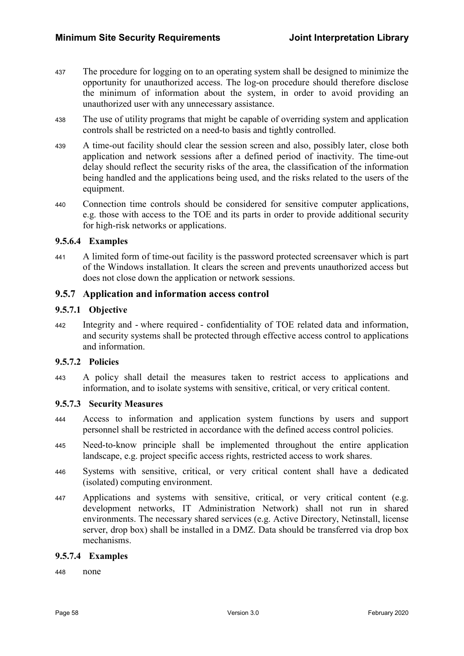- <sup>437</sup>The procedure for logging on to an operating system shall be designed to minimize the opportunity for unauthorized access. The log-on procedure should therefore disclose the minimum of information about the system, in order to avoid providing an unauthorized user with any unnecessary assistance.
- <sup>438</sup>The use of utility programs that might be capable of overriding system and application controls shall be restricted on a need-to basis and tightly controlled.
- 439 A time-out facility should clear the session screen and also, possibly later, close both application and network sessions after a defined period of inactivity. The time-out delay should reflect the security risks of the area, the classification of the information being handled and the applications being used, and the risks related to the users of the equipment.
- <sup>440</sup>Connection time controls should be considered for sensitive computer applications, e.g. those with access to the TOE and its parts in order to provide additional security for high-risk networks or applications.

#### 9.5.6.4 Examples

<sup>441</sup>A limited form of time-out facility is the password protected screensaver which is part of the Windows installation. It clears the screen and prevents unauthorized access but does not close down the application or network sessions.

### 9.5.7 Application and information access control

#### 9.5.7.1 Objective

<sup>442</sup>Integrity and - where required - confidentiality of TOE related data and information, and security systems shall be protected through effective access control to applications and information.

#### 9.5.7.2 Policies

<sup>443</sup>A policy shall detail the measures taken to restrict access to applications and information, and to isolate systems with sensitive, critical, or very critical content.

#### 9.5.7.3 Security Measures

- <sup>444</sup>Access to information and application system functions by users and support personnel shall be restricted in accordance with the defined access control policies.
- A 145 Need-to-know principle shall be implemented throughout the entire application landscape, e.g. project specific access rights, restricted access to work shares.
- 446 Systems with sensitive, critical, or very critical content shall have a dedicated (isolated) computing environment.
- Applications and systems with sensitive, critical, or very critical content (e.g. development networks, IT Administration Network) shall not run in shared environments. The necessary shared services (e.g. Active Directory, Netinstall, license server, drop box) shall be installed in a DMZ. Data should be transferred via drop box mechanisms.

#### 9.5.7.4 Examples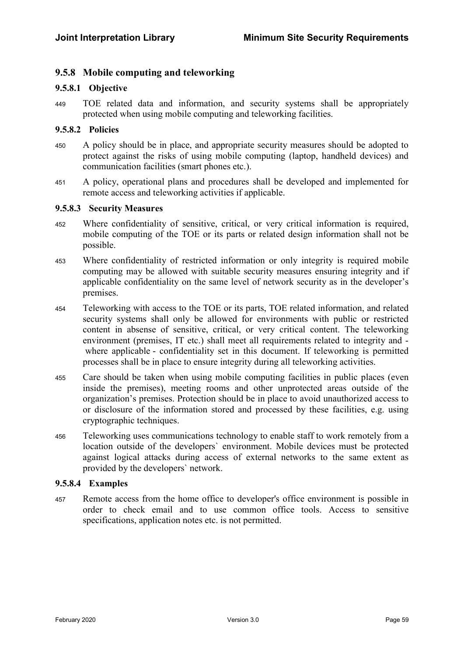### 9.5.8 Mobile computing and teleworking

#### 9.5.8.1 Objective

<sup>449</sup>TOE related data and information, and security systems shall be appropriately protected when using mobile computing and teleworking facilities.

#### 9.5.8.2 Policies

- <sup>450</sup>A policy should be in place, and appropriate security measures should be adopted to protect against the risks of using mobile computing (laptop, handheld devices) and communication facilities (smart phones etc.).
- <sup>451</sup>A policy, operational plans and procedures shall be developed and implemented for remote access and teleworking activities if applicable.

#### 9.5.8.3 Security Measures

- <sup>452</sup>Where confidentiality of sensitive, critical, or very critical information is required, mobile computing of the TOE or its parts or related design information shall not be possible.
- <sup>453</sup>Where confidentiality of restricted information or only integrity is required mobile computing may be allowed with suitable security measures ensuring integrity and if applicable confidentiality on the same level of network security as in the developer's premises.
- <sup>454</sup>Teleworking with access to the TOE or its parts, TOE related information, and related security systems shall only be allowed for environments with public or restricted content in absense of sensitive, critical, or very critical content. The teleworking environment (premises, IT etc.) shall meet all requirements related to integrity and where applicable - confidentiality set in this document. If teleworking is permitted processes shall be in place to ensure integrity during all teleworking activities.
- <sup>455</sup>Care should be taken when using mobile computing facilities in public places (even inside the premises), meeting rooms and other unprotected areas outside of the organization's premises. Protection should be in place to avoid unauthorized access to or disclosure of the information stored and processed by these facilities, e.g. using cryptographic techniques.
- 456 Teleworking uses communications technology to enable staff to work remotely from a location outside of the developers` environment. Mobile devices must be protected against logical attacks during access of external networks to the same extent as provided by the developers` network.

#### 9.5.8.4 Examples

<sup>457</sup>Remote access from the home office to developer's office environment is possible in order to check email and to use common office tools. Access to sensitive specifications, application notes etc. is not permitted.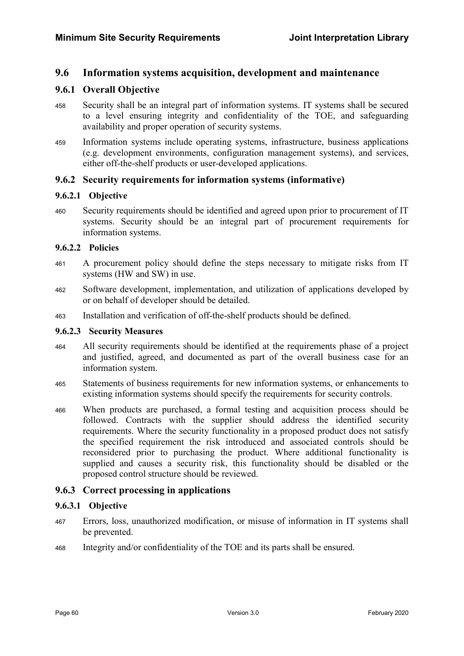### 9.6 Information systems acquisition, development and maintenance

### 9.6.1 Overall Objective

- 458 Security shall be an integral part of information systems. IT systems shall be secured to a level ensuring integrity and confidentiality of the TOE, and safeguarding availability and proper operation of security systems.
- <sup>459</sup>Information systems include operating systems, infrastructure, business applications (e.g. development environments, configuration management systems), and services, either off-the-shelf products or user-developed applications.

### 9.6.2 Security requirements for information systems (informative)

#### 9.6.2.1 Objective

460 Security requirements should be identified and agreed upon prior to procurement of IT systems. Security should be an integral part of procurement requirements for information systems.

#### 9.6.2.2 Policies

- <sup>461</sup>A procurement policy should define the steps necessary to mitigate risks from IT systems (HW and SW) in use.
- 462 Software development, implementation, and utilization of applications developed by or on behalf of developer should be detailed.
- <sup>463</sup>Installation and verification of off-the-shelf products should be defined.

#### 9.6.2.3 Security Measures

- <sup>464</sup>All security requirements should be identified at the requirements phase of a project and justified, agreed, and documented as part of the overall business case for an information system.
- 465 Statements of business requirements for new information systems, or enhancements to existing information systems should specify the requirements for security controls.
- <sup>466</sup>When products are purchased, a formal testing and acquisition process should be followed. Contracts with the supplier should address the identified security requirements. Where the security functionality in a proposed product does not satisfy the specified requirement the risk introduced and associated controls should be reconsidered prior to purchasing the product. Where additional functionality is supplied and causes a security risk, this functionality should be disabled or the proposed control structure should be reviewed.

### 9.6.3 Correct processing in applications

### 9.6.3.1 Objective

- <sup>467</sup>Errors, loss, unauthorized modification, or misuse of information in IT systems shall be prevented.
- 468 Integrity and/or confidentiality of the TOE and its parts shall be ensured.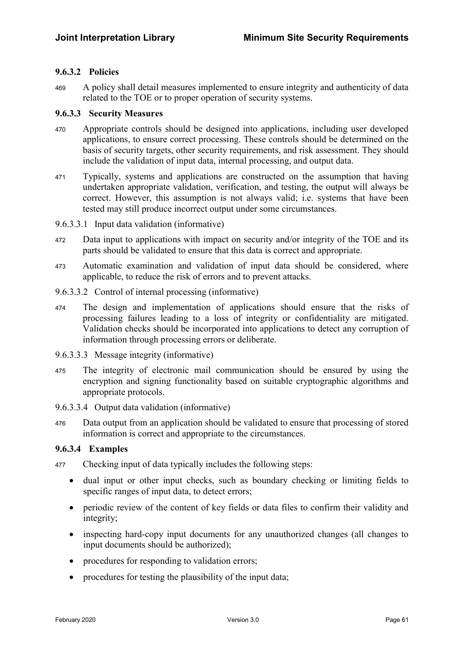#### 9.6.3.2 Policies

<sup>469</sup>A policy shall detail measures implemented to ensure integrity and authenticity of data related to the TOE or to proper operation of security systems.

#### 9.6.3.3 Security Measures

- <sup>470</sup>Appropriate controls should be designed into applications, including user developed applications, to ensure correct processing. These controls should be determined on the basis of security targets, other security requirements, and risk assessment. They should include the validation of input data, internal processing, and output data.
- <sup>471</sup>Typically, systems and applications are constructed on the assumption that having undertaken appropriate validation, verification, and testing, the output will always be correct. However, this assumption is not always valid; i.e. systems that have been tested may still produce incorrect output under some circumstances.

#### 9.6.3.3.1 Input data validation (informative)

- 472 Data input to applications with impact on security and/or integrity of the TOE and its parts should be validated to ensure that this data is correct and appropriate.
- 473 Automatic examination and validation of input data should be considered, where applicable, to reduce the risk of errors and to prevent attacks.
- 9.6.3.3.2 Control of internal processing (informative)
- <sup>474</sup>The design and implementation of applications should ensure that the risks of processing failures leading to a loss of integrity or confidentiality are mitigated. Validation checks should be incorporated into applications to detect any corruption of information through processing errors or deliberate.
- 9.6.3.3.3 Message integrity (informative)
- <sup>475</sup>The integrity of electronic mail communication should be ensured by using the encryption and signing functionality based on suitable cryptographic algorithms and appropriate protocols.
- 9.6.3.3.4 Output data validation (informative)
- 476 Data output from an application should be validated to ensure that processing of stored information is correct and appropriate to the circumstances.

#### 9.6.3.4 Examples

- 477 Checking input of data typically includes the following steps:
	- dual input or other input checks, such as boundary checking or limiting fields to specific ranges of input data, to detect errors;
	- periodic review of the content of key fields or data files to confirm their validity and integrity;
	- inspecting hard-copy input documents for any unauthorized changes (all changes to input documents should be authorized);
	- procedures for responding to validation errors;
	- procedures for testing the plausibility of the input data;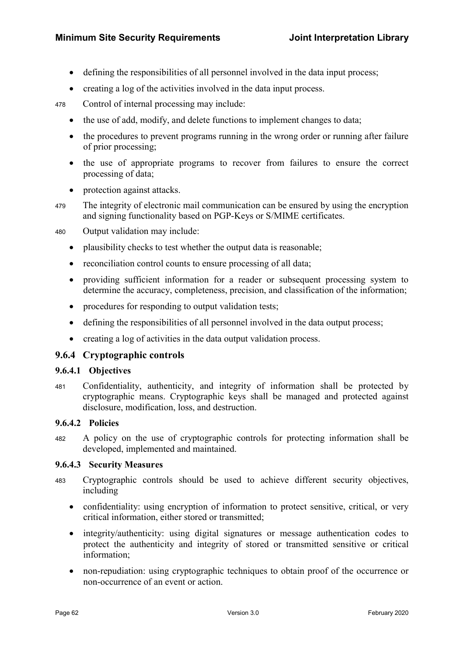- defining the responsibilities of all personnel involved in the data input process;
- creating a log of the activities involved in the data input process.

478 Control of internal processing may include:

- the use of add, modify, and delete functions to implement changes to data;
- the procedures to prevent programs running in the wrong order or running after failure of prior processing;
- the use of appropriate programs to recover from failures to ensure the correct processing of data;
- protection against attacks.
- 479 The integrity of electronic mail communication can be ensured by using the encryption and signing functionality based on PGP-Keys or S/MIME certificates.

480 Output validation may include:

- plausibility checks to test whether the output data is reasonable;
- reconciliation control counts to ensure processing of all data;
- providing sufficient information for a reader or subsequent processing system to determine the accuracy, completeness, precision, and classification of the information;
- procedures for responding to output validation tests;
- defining the responsibilities of all personnel involved in the data output process;
- creating a log of activities in the data output validation process.

#### 9.6.4 Cryptographic controls

#### 9.6.4.1 Objectives

<sup>481</sup>Confidentiality, authenticity, and integrity of information shall be protected by cryptographic means. Cryptographic keys shall be managed and protected against disclosure, modification, loss, and destruction.

#### 9.6.4.2 Policies

<sup>482</sup>A policy on the use of cryptographic controls for protecting information shall be developed, implemented and maintained.

#### 9.6.4.3 Security Measures

- <sup>483</sup>Cryptographic controls should be used to achieve different security objectives, including
	- confidentiality: using encryption of information to protect sensitive, critical, or very critical information, either stored or transmitted;
	- integrity/authenticity: using digital signatures or message authentication codes to protect the authenticity and integrity of stored or transmitted sensitive or critical information;
	- non-repudiation: using cryptographic techniques to obtain proof of the occurrence or non-occurrence of an event or action.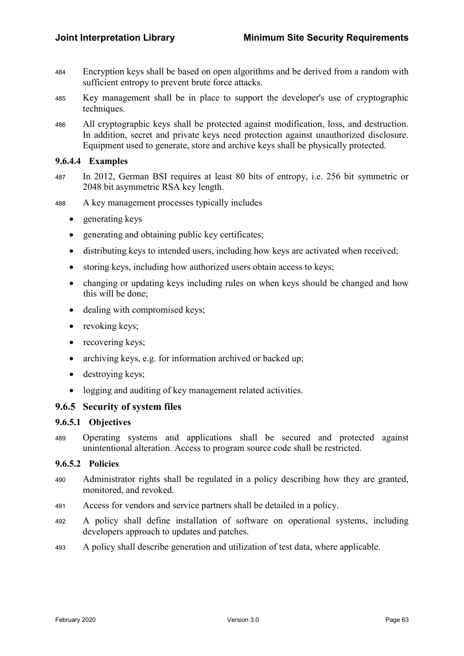- <sup>484</sup>Encryption keys shall be based on open algorithms and be derived from a random with sufficient entropy to prevent brute force attacks.
- <sup>485</sup>Key management shall be in place to support the developer's use of cryptographic techniques.
- <sup>486</sup>All cryptographic keys shall be protected against modification, loss, and destruction. In addition, secret and private keys need protection against unauthorized disclosure. Equipment used to generate, store and archive keys shall be physically protected.

#### 9.6.4.4 Examples

- <sup>487</sup>In 2012, German BSI requires at least 80 bits of entropy, i.e. 256 bit symmetric or 2048 bit asymmetric RSA key length.
- <sup>488</sup>A key management processes typically includes
	- generating keys
	- generating and obtaining public key certificates;
	- distributing keys to intended users, including how keys are activated when received;
	- storing keys, including how authorized users obtain access to keys;
	- changing or updating keys including rules on when keys should be changed and how this will be done;
	- dealing with compromised keys;
	- revoking keys;
	- recovering keys;
	- archiving keys, e.g. for information archived or backed up;
	- destroying keys;
	- logging and auditing of key management related activities.

#### 9.6.5 Security of system files

#### 9.6.5.1 Objectives

<sup>489</sup>Operating systems and applications shall be secured and protected against unintentional alteration. Access to program source code shall be restricted.

#### 9.6.5.2 Policies

- 490 Administrator rights shall be regulated in a policy describing how they are granted, monitored, and revoked.
- 491 Access for vendors and service partners shall be detailed in a policy.
- <sup>492</sup>A policy shall define installation of software on operational systems, including developers approach to updates and patches.
- 493 A policy shall describe generation and utilization of test data, where applicable.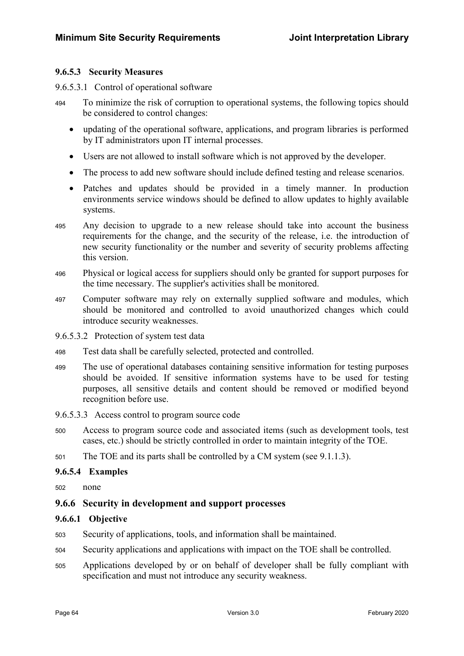#### 9.6.5.3 Security Measures

#### 9.6.5.3.1 Control of operational software

- <sup>494</sup>To minimize the risk of corruption to operational systems, the following topics should be considered to control changes:
	- updating of the operational software, applications, and program libraries is performed by IT administrators upon IT internal processes.
	- Users are not allowed to install software which is not approved by the developer.
	- The process to add new software should include defined testing and release scenarios.
	- Patches and updates should be provided in a timely manner. In production environments service windows should be defined to allow updates to highly available systems.
- <sup>495</sup>Any decision to upgrade to a new release should take into account the business requirements for the change, and the security of the release, i.e. the introduction of new security functionality or the number and severity of security problems affecting this version.
- <sup>496</sup>Physical or logical access for suppliers should only be granted for support purposes for the time necessary. The supplier's activities shall be monitored.
- <sup>497</sup>Computer software may rely on externally supplied software and modules, which should be monitored and controlled to avoid unauthorized changes which could introduce security weaknesses.
- 9.6.5.3.2 Protection of system test data
- 498 Test data shall be carefully selected, protected and controlled.
- <sup>499</sup>The use of operational databases containing sensitive information for testing purposes should be avoided. If sensitive information systems have to be used for testing purposes, all sensitive details and content should be removed or modified beyond recognition before use.
- 9.6.5.3.3 Access control to program source code
- <sup>500</sup>Access to program source code and associated items (such as development tools, test cases, etc.) should be strictly controlled in order to maintain integrity of the TOE.
- 501 The TOE and its parts shall be controlled by a CM system (see 9.1.1.3).

#### 9.6.5.4 Examples

502 none

#### 9.6.6 Security in development and support processes

#### 9.6.6.1 Objective

- 503 Security of applications, tools, and information shall be maintained.
- <sup>504</sup>Security applications and applications with impact on the TOE shall be controlled.
- <sup>505</sup>Applications developed by or on behalf of developer shall be fully compliant with specification and must not introduce any security weakness.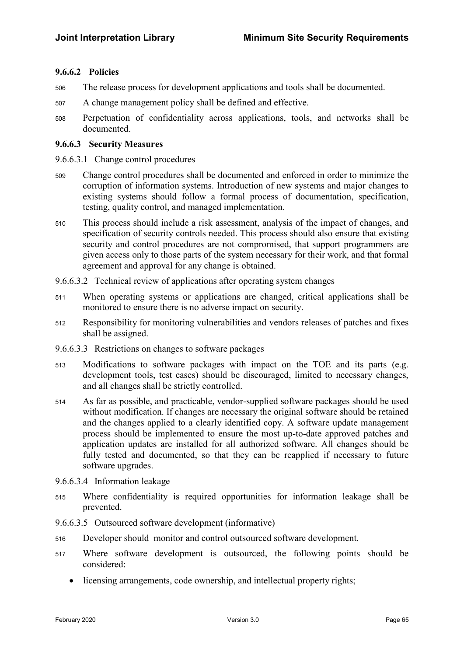#### 9.6.6.2 Policies

- 506 The release process for development applications and tools shall be documented.
- <sup>507</sup>A change management policy shall be defined and effective.
- <sup>508</sup>Perpetuation of confidentiality across applications, tools, and networks shall be documented.

#### 9.6.6.3 Security Measures

- 9.6.6.3.1 Change control procedures
- <sup>509</sup>Change control procedures shall be documented and enforced in order to minimize the corruption of information systems. Introduction of new systems and major changes to existing systems should follow a formal process of documentation, specification, testing, quality control, and managed implementation.
- 510 This process should include a risk assessment, analysis of the impact of changes, and specification of security controls needed. This process should also ensure that existing security and control procedures are not compromised, that support programmers are given access only to those parts of the system necessary for their work, and that formal agreement and approval for any change is obtained.
- 9.6.6.3.2 Technical review of applications after operating system changes
- <sup>511</sup>When operating systems or applications are changed, critical applications shall be monitored to ensure there is no adverse impact on security.
- <sup>512</sup>Responsibility for monitoring vulnerabilities and vendors releases of patches and fixes shall be assigned.
- 9.6.6.3.3 Restrictions on changes to software packages
- 513 Modifications to software packages with impact on the TOE and its parts (e.g. development tools, test cases) should be discouraged, limited to necessary changes, and all changes shall be strictly controlled.
- <sup>514</sup>As far as possible, and practicable, vendor-supplied software packages should be used without modification. If changes are necessary the original software should be retained and the changes applied to a clearly identified copy. A software update management process should be implemented to ensure the most up-to-date approved patches and application updates are installed for all authorized software. All changes should be fully tested and documented, so that they can be reapplied if necessary to future software upgrades.
- 9.6.6.3.4 Information leakage
- <sup>515</sup>Where confidentiality is required opportunities for information leakage shall be prevented.
- 9.6.6.3.5 Outsourced software development (informative)
- <sup>516</sup>Developer should monitor and control outsourced software development.
- <sup>517</sup>Where software development is outsourced, the following points should be considered:
	- licensing arrangements, code ownership, and intellectual property rights;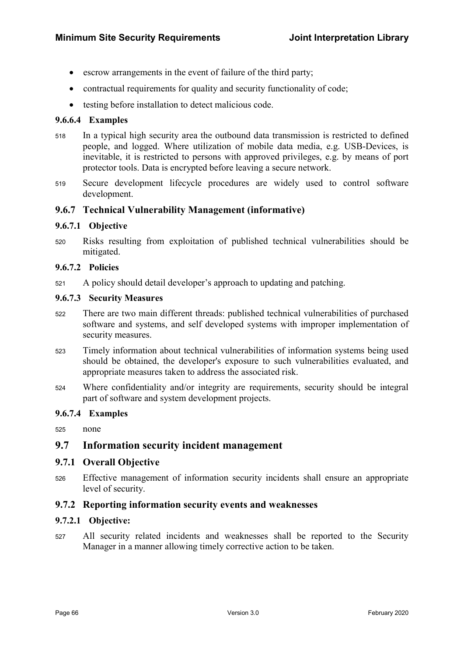- escrow arrangements in the event of failure of the third party;
- contractual requirements for quality and security functionality of code;
- testing before installation to detect malicious code.

#### 9.6.6.4 Examples

- <sup>518</sup>In a typical high security area the outbound data transmission is restricted to defined people, and logged. Where utilization of mobile data media, e.g. USB-Devices, is inevitable, it is restricted to persons with approved privileges, e.g. by means of port protector tools. Data is encrypted before leaving a secure network.
- 519 Secure development lifecycle procedures are widely used to control software development.

#### 9.6.7 Technical Vulnerability Management (informative)

#### 9.6.7.1 Objective

<sup>520</sup>Risks resulting from exploitation of published technical vulnerabilities should be mitigated.

#### 9.6.7.2 Policies

<sup>521</sup>A policy should detail developer's approach to updating and patching.

#### 9.6.7.3 Security Measures

- <sup>522</sup>There are two main different threads: published technical vulnerabilities of purchased software and systems, and self developed systems with improper implementation of security measures.
- <sup>523</sup>Timely information about technical vulnerabilities of information systems being used should be obtained, the developer's exposure to such vulnerabilities evaluated, and appropriate measures taken to address the associated risk.
- <sup>524</sup>Where confidentiality and/or integrity are requirements, security should be integral part of software and system development projects.

#### 9.6.7.4 Examples

 $525$  none

### 9.7 Information security incident management

#### 9.7.1 Overall Objective

<sup>526</sup>Effective management of information security incidents shall ensure an appropriate level of security.

#### 9.7.2 Reporting information security events and weaknesses

#### 9.7.2.1 Objective:

<sup>527</sup>All security related incidents and weaknesses shall be reported to the Security Manager in a manner allowing timely corrective action to be taken.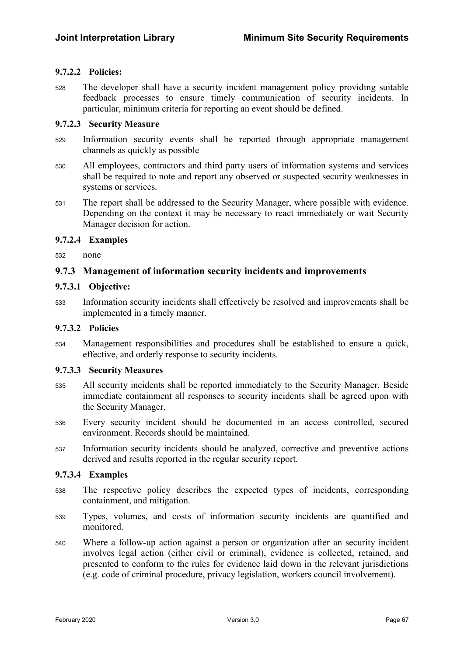#### 9.7.2.2 Policies:

528 The developer shall have a security incident management policy providing suitable feedback processes to ensure timely communication of security incidents. In particular, minimum criteria for reporting an event should be defined.

#### 9.7.2.3 Security Measure

- 529 Information security events shall be reported through appropriate management channels as quickly as possible
- <sup>530</sup>All employees, contractors and third party users of information systems and services shall be required to note and report any observed or suspected security weaknesses in systems or services.
- 531 The report shall be addressed to the Security Manager, where possible with evidence. Depending on the context it may be necessary to react immediately or wait Security Manager decision for action.

#### 9.7.2.4 Examples

532 none

### 9.7.3 Management of information security incidents and improvements

#### 9.7.3.1 Objective:

<sup>533</sup>Information security incidents shall effectively be resolved and improvements shall be implemented in a timely manner.

#### 9.7.3.2 Policies

<sup>534</sup>Management responsibilities and procedures shall be established to ensure a quick, effective, and orderly response to security incidents.

#### 9.7.3.3 Security Measures

- <sup>535</sup>All security incidents shall be reported immediately to the Security Manager. Beside immediate containment all responses to security incidents shall be agreed upon with the Security Manager.
- <sup>536</sup>Every security incident should be documented in an access controlled, secured environment. Records should be maintained.
- 537 Information security incidents should be analyzed, corrective and preventive actions derived and results reported in the regular security report.

#### 9.7.3.4 Examples

- <sup>538</sup>The respective policy describes the expected types of incidents, corresponding containment, and mitigation.
- <sup>539</sup>Types, volumes, and costs of information security incidents are quantified and monitored.
- <sup>540</sup>Where a follow-up action against a person or organization after an security incident involves legal action (either civil or criminal), evidence is collected, retained, and presented to conform to the rules for evidence laid down in the relevant jurisdictions (e.g. code of criminal procedure, privacy legislation, workers council involvement).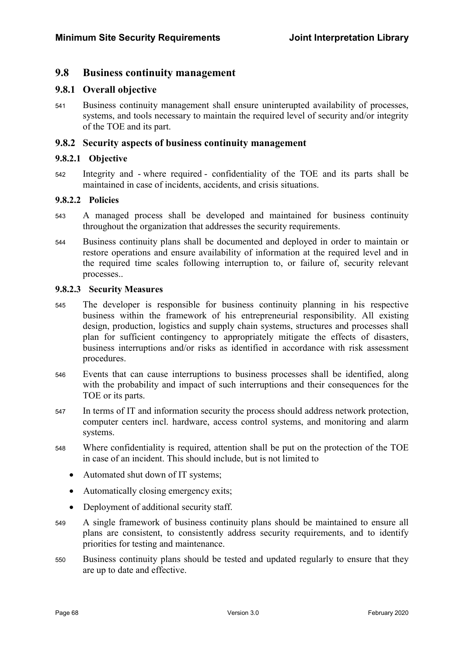### 9.8 Business continuity management

### 9.8.1 Overall objective

541 Business continuity management shall ensure uninterupted availability of processes, systems, and tools necessary to maintain the required level of security and/or integrity of the TOE and its part.

#### 9.8.2 Security aspects of business continuity management

#### 9.8.2.1 Objective

542 Integrity and - where required - confidentiality of the TOE and its parts shall be maintained in case of incidents, accidents, and crisis situations.

#### 9.8.2.2 Policies

- <sup>543</sup>A managed process shall be developed and maintained for business continuity throughout the organization that addresses the security requirements.
- <sup>544</sup>Business continuity plans shall be documented and deployed in order to maintain or restore operations and ensure availability of information at the required level and in the required time scales following interruption to, or failure of, security relevant processes..

#### 9.8.2.3 Security Measures

- <sup>545</sup>The developer is responsible for business continuity planning in his respective business within the framework of his entrepreneurial responsibility. All existing design, production, logistics and supply chain systems, structures and processes shall plan for sufficient contingency to appropriately mitigate the effects of disasters, business interruptions and/or risks as identified in accordance with risk assessment procedures.
- <sup>546</sup>Events that can cause interruptions to business processes shall be identified, along with the probability and impact of such interruptions and their consequences for the TOE or its parts.
- 547 In terms of IT and information security the process should address network protection, computer centers incl. hardware, access control systems, and monitoring and alarm systems.
- <sup>548</sup>Where confidentiality is required, attention shall be put on the protection of the TOE in case of an incident. This should include, but is not limited to
	- Automated shut down of IT systems;
	- Automatically closing emergency exits:
	- Deployment of additional security staff.
- <sup>549</sup>A single framework of business continuity plans should be maintained to ensure all plans are consistent, to consistently address security requirements, and to identify priorities for testing and maintenance.
- 550 Business continuity plans should be tested and updated regularly to ensure that they are up to date and effective.